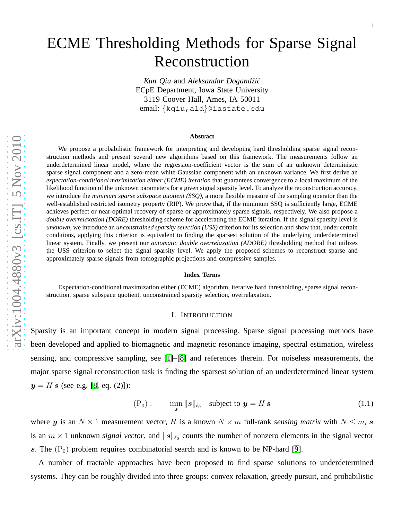# ECME Thresholding Methods for Sparse Signal Reconstruction

Kun Qiu and Aleksandar Dogandžić ECpE Department, Iowa State University 3119 Coover Hall, Ames, IA 50011 email: {kqiu,ald }@iastate.edu

#### **Abstract**

We propose a probabilistic framework for interpreting and developing hard thresholding sparse signal reconstruction methods and present several new algorithms based on this framework. The measurements follow an underdetermined linear model, where the regression-coefficient vector is the sum of an unknown deterministic sparse signal component and a zero-mean white Gaussian component with an unknown variance. We first derive an *expectation-conditional maximization either (ECME) iteration* that guarantees convergence to a local maximum of the likelihood function of the unknown parameters for a given signal sparsity level. To analyze the reconstruction accuracy, we introduce the *minimum sparse subspace quotient (SSQ)*, a more flexible measure of the sampling operator than the well-established restricted isometry property (RIP). We prove that, if the minimum SSQ is sufficiently large, ECME achieves perfect or near-optimal recovery of sparse or approximately sparse signals, respectively. We also propose a *double overrelaxation (DORE)* thresholding scheme for accelerating the ECME iteration. If the signal sparsity level is *unknown*, we introduce an *unconstrained sparsity selection (USS)* criterion for its selection and show that, under certain conditions, applying this criterion is equivalent to finding the sparsest solution of the underlying underdetermined linear system. Finally, we present our *automatic double overrelaxation (ADORE)* thresholding method that utilizes the USS criterion to select the signal sparsity level. We apply the proposed schemes to reconstruct sparse and approximately sparse signals from tomographic projections and compressive samples.

#### **Index Terms**

Expectation-conditional maximization either (ECME) algorithm, iterative hard thresholding, sparse signal reconstruction, sparse subspace quotient, unconstrained sparsity selection, overrelaxation.

#### I. INTRODUCTION

Sparsity is an important concept in modern signal processing. Sparse signal processing methods have been developed and applied to biomagnetic and magnetic resonance imaging, spectral estimation, wireless sensing, and compressive sampling, see [\[1\]](#page-37-0)–[\[8\]](#page-38-0) and references therein. For noiseless measurements, the major sparse signal reconstruction task is finding the sparsest solution of an underdetermined linear system  $y = H s$  (see e.g. [\[8,](#page-38-0) eq. (2)]):

<span id="page-0-0"></span>
$$
(P_0): \qquad \min_{s} \|s\|_{\ell_0} \quad \text{subject to } \mathbf{y} = H \, \mathbf{s} \tag{1.1}
$$

where y is an  $N \times 1$  measurement vector, H is a known  $N \times m$  full-rank *sensing matrix* with  $N \le m$ , s is an  $m \times 1$  unknown *signal vector*, and  $||s||_{\ell_0}$  counts the number of nonzero elements in the signal vector s. The  $(P_0)$  problem requires combinatorial search and is known to be NP-hard [\[9\]](#page-38-1).

A number of tractable approaches have been proposed to find sparse solutions to underdetermined systems. They can be roughly divided into three groups: convex relaxation, greedy pursuit, and probabilistic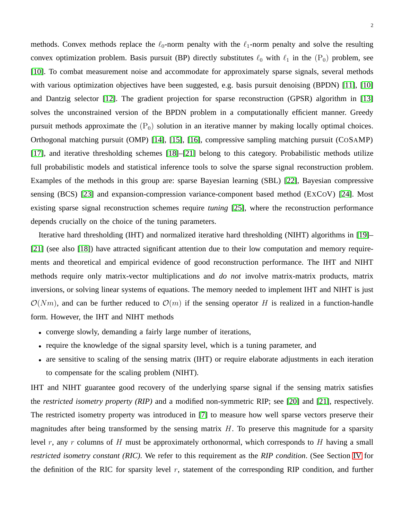methods. Convex methods replace the  $\ell_0$ -norm penalty with the  $\ell_1$ -norm penalty and solve the resulting convex optimization problem. Basis pursuit (BP) directly substitutes  $\ell_0$  with  $\ell_1$  in the (P<sub>0</sub>) problem, see [\[10\]](#page-38-2). To combat measurement noise and accommodate for approximately sparse signals, several methods with various optimization objectives have been suggested, e.g. basis pursuit denoising (BPDN) [\[11\]](#page-38-3), [\[10\]](#page-38-2) and Dantzig selector [\[12\]](#page-38-4). The gradient projection for sparse reconstruction (GPSR) algorithm in [\[13\]](#page-38-5) solves the unconstrained version of the BPDN problem in a computationally efficient manner. Greedy pursuit methods approximate the  $(P_0)$  solution in an iterative manner by making locally optimal choices. Orthogonal matching pursuit (OMP) [\[14\]](#page-38-6), [\[15\]](#page-38-7), [\[16\]](#page-38-8), compressive sampling matching pursuit (COSAMP) [\[17\]](#page-38-9), and iterative thresholding schemes [\[18\]](#page-38-10)–[\[21\]](#page-38-11) belong to this category. Probabilistic methods utilize full probabilistic models and statistical inference tools to solve the sparse signal reconstruction problem. Examples of the methods in this group are: sparse Bayesian learning (SBL) [\[22\]](#page-38-12), Bayesian compressive sensing (BCS) [\[23\]](#page-38-13) and expansion-compression variance-component based method (EXCOV) [\[24\]](#page-38-14). Most existing sparse signal reconstruction schemes require *tuning* [\[25\]](#page-38-15), where the reconstruction performance depends crucially on the choice of the tuning parameters.

Iterative hard thresholding (IHT) and normalized iterative hard thresholding (NIHT) algorithms in [\[19\]](#page-38-16)– [\[21\]](#page-38-11) (see also [\[18\]](#page-38-10)) have attracted significant attention due to their low computation and memory requirements and theoretical and empirical evidence of good reconstruction performance. The IHT and NIHT methods require only matrix-vector multiplications and *do not* involve matrix-matrix products, matrix inversions, or solving linear systems of equations. The memory needed to implement IHT and NIHT is just  $\mathcal{O}(Nm)$ , and can be further reduced to  $\mathcal{O}(m)$  if the sensing operator H is realized in a function-handle form. However, the IHT and NIHT methods

- converge slowly, demanding a fairly large number of iterations,
- require the knowledge of the signal sparsity level, which is a tuning parameter, and
- are sensitive to scaling of the sensing matrix (IHT) or require elaborate adjustments in each iteration to compensate for the scaling problem (NIHT).

IHT and NIHT guarantee good recovery of the underlying sparse signal if the sensing matrix satisfies the *restricted isometry property (RIP)* and a modified non-symmetric RIP; see [\[20\]](#page-38-17) and [\[21\]](#page-38-11), respectively. The restricted isometry property was introduced in [\[7\]](#page-38-18) to measure how well sparse vectors preserve their magnitudes after being transformed by the sensing matrix  $H$ . To preserve this magnitude for a sparsity level r, any r columns of H must be approximately orthonormal, which corresponds to H having a small *restricted isometry constant (RIC)*. We refer to this requirement as the *RIP condition*. (See Section [IV](#page-11-0) for the definition of the RIC for sparsity level  $r$ , statement of the corresponding RIP condition, and further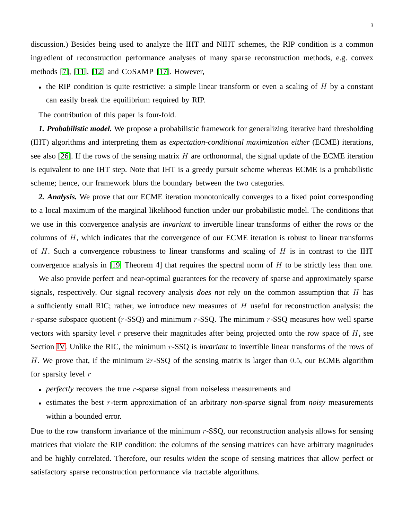discussion.) Besides being used to analyze the IHT and NIHT schemes, the RIP condition is a common ingredient of reconstruction performance analyses of many sparse reconstruction methods, e.g. convex methods [\[7\]](#page-38-18), [\[11\]](#page-38-3), [\[12\]](#page-38-4) and COSAMP [\[17\]](#page-38-9). However,

• the RIP condition is quite restrictive: a simple linear transform or even a scaling of  $H$  by a constant can easily break the equilibrium required by RIP.

The contribution of this paper is four-fold.

*1. Probabilistic model.* We propose a probabilistic framework for generalizing iterative hard thresholding (IHT) algorithms and interpreting them as *expectation-conditional maximization either* (ECME) iterations, see also [\[26\]](#page-38-19). If the rows of the sensing matrix  $H$  are orthonormal, the signal update of the ECME iteration is equivalent to one IHT step. Note that IHT is a greedy pursuit scheme whereas ECME is a probabilistic scheme; hence, our framework blurs the boundary between the two categories.

*2. Analysis.* We prove that our ECME iteration monotonically converges to a fixed point corresponding to a local maximum of the marginal likelihood function under our probabilistic model. The conditions that we use in this convergence analysis are *invariant* to invertible linear transforms of either the rows or the columns of H, which indicates that the convergence of our ECME iteration is robust to linear transforms of  $H$ . Such a convergence robustness to linear transforms and scaling of  $H$  is in contrast to the IHT convergence analysis in [\[19,](#page-38-16) Theorem 4] that requires the spectral norm of  $H$  to be strictly less than one.

We also provide perfect and near-optimal guarantees for the recovery of sparse and approximately sparse signals, respectively. Our signal recovery analysis *does not* rely on the common assumption that H has a sufficiently small RIC; rather, we introduce new measures of  $H$  useful for reconstruction analysis: the  $r$ -sparse subspace quotient ( $r$ -SSQ) and minimum  $r$ -SSQ. The minimum  $r$ -SSQ measures how well sparse vectors with sparsity level  $r$  preserve their magnitudes after being projected onto the row space of  $H$ , see Section [IV.](#page-11-0) Unlike the RIC, the minimum r-SSQ is *invariant* to invertible linear transforms of the rows of H. We prove that, if the minimum  $2r$ -SSQ of the sensing matrix is larger than 0.5, our ECME algorithm for sparsity level  $r$ 

- *perfectly* recovers the true *r*-sparse signal from noiseless measurements and
- estimates the best r-term approximation of an arbitrary *non-sparse* signal from *noisy* measurements within a bounded error.

Due to the row transform invariance of the minimum  $r$ -SSQ, our reconstruction analysis allows for sensing matrices that violate the RIP condition: the columns of the sensing matrices can have arbitrary magnitudes and be highly correlated. Therefore, our results *widen* the scope of sensing matrices that allow perfect or satisfactory sparse reconstruction performance via tractable algorithms.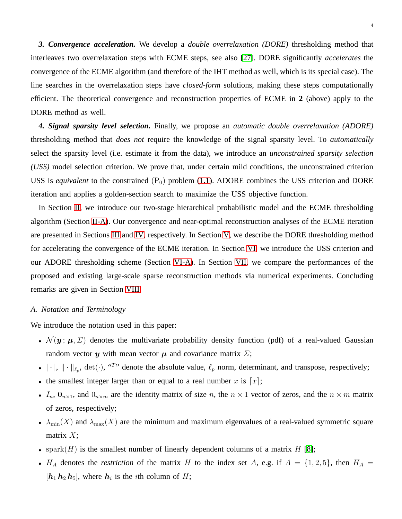*3. Convergence acceleration.* We develop a *double overrelaxation (DORE)* thresholding method that interleaves two overrelaxation steps with ECME steps, see also [\[27\]](#page-38-20). DORE significantly *accelerates* the convergence of the ECME algorithm (and therefore of the IHT method as well, which is its special case). The line searches in the overrelaxation steps have *closed-form* solutions, making these steps computationally efficient. The theoretical convergence and reconstruction properties of ECME in **2** (above) apply to the DORE method as well.

*4. Signal sparsity level selection.* Finally, we propose an *automatic double overrelaxation (ADORE)* thresholding method that *does not* require the knowledge of the signal sparsity level. To *automatically* select the sparsity level (i.e. estimate it from the data), we introduce an *unconstrained sparsity selection (USS)* model selection criterion. We prove that, under certain mild conditions, the unconstrained criterion USS is *equivalent* to the constrained  $(P_0)$  problem [\(1.1\)](#page-0-0). ADORE combines the USS criterion and DORE iteration and applies a golden-section search to maximize the USS objective function.

In Section [II,](#page-4-0) we introduce our two-stage hierarchical probabilistic model and the ECME thresholding algorithm (Section [II-A\)](#page-5-0). Our convergence and near-optimal reconstruction analyses of the ECME iteration are presented in Sections [III](#page-6-0) and [IV,](#page-11-0) respectively. In Section [V,](#page-16-0) we describe the DORE thresholding method for accelerating the convergence of the ECME iteration. In Section [VI,](#page-20-0) we introduce the USS criterion and our ADORE thresholding scheme (Section [VI-A\)](#page-21-0). In Section [VII,](#page-21-1) we compare the performances of the proposed and existing large-scale sparse reconstruction methods via numerical experiments. Concluding remarks are given in Section [VIII.](#page-27-0)

#### *A. Notation and Terminology*

We introduce the notation used in this paper:

- $\mathcal{N}(y; \mu, \Sigma)$  denotes the multivariate probability density function (pdf) of a real-valued Gaussian random vector y with mean vector  $\mu$  and covariance matrix  $\Sigma$ ;
- $|\cdot|$ ,  $\|\cdot\|_{\ell_p}$ , det $(\cdot)$ , "<sup>T</sup>" denote the absolute value,  $\ell_p$  norm, determinant, and transpose, respectively;
- the smallest integer larger than or equal to a real number x is  $[x]$ ;
- $I_n$ ,  $\mathbf{0}_{n\times1}$ , and  $\mathbf{0}_{n\times m}$  are the identity matrix of size n, the  $n \times 1$  vector of zeros, and the  $n \times m$  matrix of zeros, respectively;
- $\lambda_{\min}(X)$  and  $\lambda_{\max}(X)$  are the minimum and maximum eigenvalues of a real-valued symmetric square matrix  $X$ ;
- spark $(H)$  is the smallest number of linearly dependent columns of a matrix H [\[8\]](#page-38-0);
- $H_A$  denotes the *restriction* of the matrix H to the index set A, e.g. if  $A = \{1, 2, 5\}$ , then  $H_A =$  $[h_1 \, h_2 \, h_5]$ , where  $h_i$  is the *i*th column of H;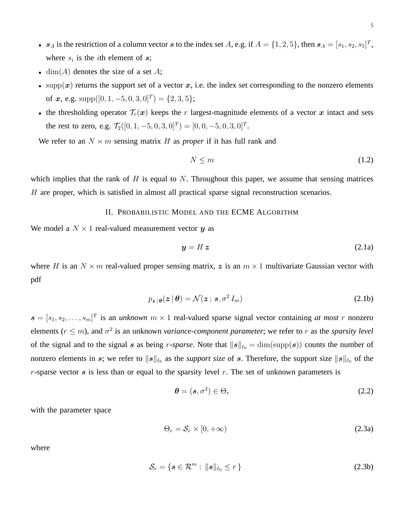- $s_A$  is the restriction of a column vector s to the index set A, e.g. if  $A = \{1, 2, 5\}$ , then  $s_A = [s_1, s_2, s_5]^T$ , where  $s_i$  is the *i*th element of  $s$ ;
- dim(A) denotes the size of a set A;
- supp $(x)$  returns the support set of a vector x, i.e. the index set corresponding to the nonzero elements of  $x$ , e.g. supp $([0, 1, -5, 0, 3, 0]^T) = \{2, 3, 5\};$
- the thresholding operator  $\mathcal{T}_r(x)$  keeps the r largest-magnitude elements of a vector x intact and sets the rest to zero, e.g.  $\mathcal{T}_2([0, 1, -5, 0, 3, 0]^T) = [0, 0, -5, 0, 3, 0]^T$ .

We refer to an  $N \times m$  sensing matrix H as *proper* if it has full rank and

$$
N \le m \tag{1.2}
$$

<span id="page-4-0"></span>which implies that the rank of  $H$  is equal to  $N$ . Throughout this paper, we assume that sensing matrices H are proper, which is satisfied in almost all practical sparse signal reconstruction scenarios.

## II. PROBABILISTIC MODEL AND THE ECME ALGORITHM

We model a  $N \times 1$  real-valued measurement vector y as

$$
y = H z \tag{2.1a}
$$

where H is an  $N \times m$  real-valued proper sensing matrix, z is an  $m \times 1$  multivariate Gaussian vector with pdf

<span id="page-4-1"></span>
$$
p_{\boldsymbol{z}|\boldsymbol{\theta}}(\boldsymbol{z}|\boldsymbol{\theta}) = \mathcal{N}(\boldsymbol{z} \, ; \, \boldsymbol{s}, \sigma^2 \, I_m)
$$

 $\mathbf{s} = [s_1, s_2, \dots, s_m]^T$  is an *unknown*  $m \times 1$  real-valued sparse signal vector containing *at most* r nonzero elements ( $r \leq m$ ), and  $\sigma^2$  is an unknown *variance-component parameter*; we refer to r as the *sparsity level* of the signal and to the signal s as being r-sparse. Note that  $||s||_{\ell_0} = \dim(\text{supp}(s))$  counts the number of nonzero elements in s; we refer to  $\|s\|_{\ell_0}$  as the *support size* of s. Therefore, the support size  $\|s\|_{\ell_0}$  of the  $r$ -sparse vector  $s$  is less than or equal to the sparsity level r. The set of unknown parameters is

$$
\boldsymbol{\theta} = (\boldsymbol{s}, \sigma^2) \in \Theta_r \tag{2.2}
$$

with the parameter space

$$
\Theta_r = \mathcal{S}_r \times [0, +\infty) \tag{2.3a}
$$

where

<span id="page-4-2"></span>
$$
\mathcal{S}_r = \{ \mathbf{s} \in \mathcal{R}^m : \|\mathbf{s}\|_{\ell_0} \le r \}
$$
\n
$$
(2.3b)
$$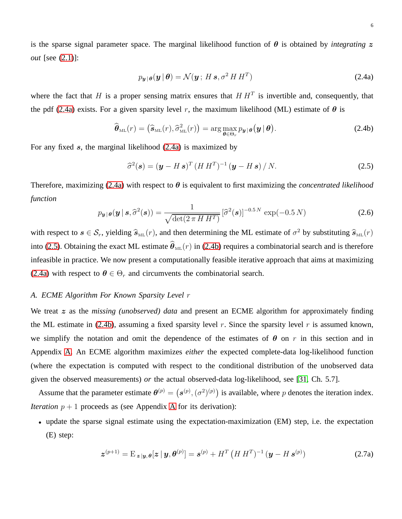is the sparse signal parameter space. The marginal likelihood function of  $\theta$  is obtained by *integrating* z *out* [see [\(2.1\)](#page-4-1)]:

$$
p_{\mathbf{y}|\boldsymbol{\theta}}(\mathbf{y}|\boldsymbol{\theta}) = \mathcal{N}(\mathbf{y}; H \, \mathbf{s}, \sigma^2 \, H \, H^T) \tag{2.4a}
$$

where the fact that H is a proper sensing matrix ensures that  $HH<sup>T</sup>$  is invertible and, consequently, that the pdf [\(2.4a\)](#page-5-1) exists. For a given sparsity level r, the maximum likelihood (ML) estimate of  $\theta$  is

<span id="page-5-1"></span>
$$
\widehat{\boldsymbol{\theta}}_{\text{ML}}(r) = (\widehat{\boldsymbol{s}}_{\text{ML}}(r), \widehat{\sigma}_{\text{ML}}^2(r)) = \arg\max_{\boldsymbol{\theta} \in \Theta_r} p_{\boldsymbol{y} | \boldsymbol{\theta}}(\boldsymbol{y} | \boldsymbol{\theta}). \tag{2.4b}
$$

For any fixed  $s$ , the marginal likelihood  $(2.4a)$  is maximized by

<span id="page-5-2"></span>
$$
\widehat{\sigma}^2(\mathbf{s}) = (\mathbf{y} - H\,\mathbf{s})^T (H\,H^T)^{-1} (\mathbf{y} - H\,\mathbf{s}) / N. \tag{2.5}
$$

Therefore, maximizing [\(2.4a\)](#page-5-1) with respect to  $\theta$  is equivalent to first maximizing the *concentrated likelihood function*

<span id="page-5-3"></span>
$$
p_{\boldsymbol{y}|\boldsymbol{\theta}}(\boldsymbol{y} \mid \boldsymbol{s}, \widehat{\sigma}^2(\boldsymbol{s})) = \frac{1}{\sqrt{\det(2 \pi H H^T)}} \left[ \widehat{\sigma}^2(\boldsymbol{s}) \right]^{-0.5 N} \exp(-0.5 N) \tag{2.6}
$$

with respect to  $s \in S_r$ , yielding  $\hat{s}_{ML}(r)$ , and then determining the ML estimate of  $\sigma^2$  by substituting  $\hat{s}_{ML}(r)$ into [\(2.5\)](#page-5-2). Obtaining the exact ML estimate  $\theta_{ML}(r)$  in [\(2.4b\)](#page-5-1) requires a combinatorial search and is therefore infeasible in practice. We now present a computationally feasible iterative approach that aims at maximizing [\(2.4a\)](#page-5-1) with respect to  $\theta \in \Theta_r$  and circumvents the combinatorial search.

#### <span id="page-5-0"></span>*A. ECME Algorithm For Known Sparsity Level* r

We treat z as the *missing (unobserved) data* and present an ECME algorithm for approximately finding the ML estimate in [\(2.4b\)](#page-5-1), assuming a fixed sparsity level r. Since the sparsity level r is assumed known, we simplify the notation and omit the dependence of the estimates of  $\theta$  on r in this section and in Appendix [A.](#page-28-0) An ECME algorithm maximizes *either* the expected complete-data log-likelihood function (where the expectation is computed with respect to the conditional distribution of the unobserved data given the observed measurements) *or* the actual observed-data log-likelihood, see [\[31,](#page-38-21) Ch. 5.7].

Assume that the parameter estimate  $\theta^{(p)} = (s^{(p)}, (\sigma^2)^{(p)})$  is available, where p denotes the iteration index. *Iteration*  $p + 1$  proceeds as (see [A](#page-28-0)ppendix A for its derivation):

• update the sparse signal estimate using the expectation-maximization (EM) step, i.e. the expectation (E) step:

$$
\boldsymbol{z}^{(p+1)} = \mathbf{E}_{\boldsymbol{z} \mid \boldsymbol{y}, \boldsymbol{\theta}}[\boldsymbol{z} \mid \boldsymbol{y}, \boldsymbol{\theta}^{(p)}] = \boldsymbol{s}^{(p)} + \boldsymbol{H}^T \left( \boldsymbol{H} \, \boldsymbol{H}^T \right)^{-1} (\boldsymbol{y} - \boldsymbol{H} \, \boldsymbol{s}^{(p)}) \tag{2.7a}
$$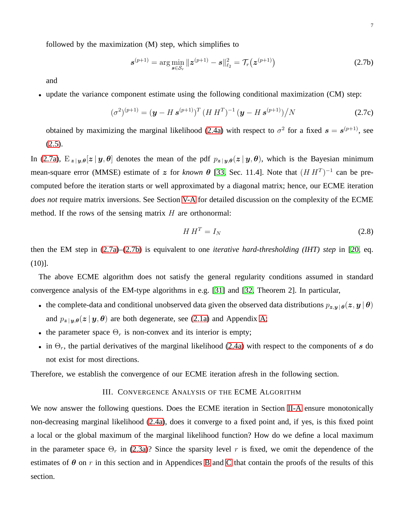$$
\mathbf{s}^{(p+1)} = \arg\min_{\mathbf{s}\in\mathcal{S}_r} \|\mathbf{z}^{(p+1)} - \mathbf{s}\|_{\ell_2}^2 = \mathcal{T}_r(\mathbf{z}^{(p+1)})
$$
(2.7b)

and

• update the variance component estimate using the following conditional maximization (CM) step:

<span id="page-6-1"></span>
$$
(\sigma^2)^{(p+1)} = (\mathbf{y} - H \mathbf{s}^{(p+1)})^T (H H^T)^{-1} (\mathbf{y} - H \mathbf{s}^{(p+1)}) / N
$$
 (2.7c)

obtained by maximizing the marginal likelihood [\(2.4a\)](#page-5-1) with respect to  $\sigma^2$  for a fixed  $s = s^{(p+1)}$ , see  $(2.5).$  $(2.5).$ 

In [\(2.7a\)](#page-6-1),  $E_{z|y,\theta}[z|y,\theta]$  denotes the mean of the pdf  $p_{z|y,\theta}(z|y,\theta)$ , which is the Bayesian minimum mean-square error (MMSE) estimate of z for *known*  $\theta$  [\[33,](#page-38-22) Sec. 11.4]. Note that  $(H H<sup>T</sup>)<sup>-1</sup>$  can be precomputed before the iteration starts or well approximated by a diagonal matrix; hence, our ECME iteration *does not* require matrix inversions. See Section [V-A](#page-19-0) for detailed discussion on the complexity of the ECME method. If the rows of the sensing matrix  $H$  are orthonormal:

<span id="page-6-2"></span>
$$
HH^T = I_N \tag{2.8}
$$

then the EM step in [\(2.7a\)](#page-6-1)–[\(2.7b\)](#page-6-1) is equivalent to one *iterative hard-thresholding (IHT) step* in [\[20,](#page-38-17) eq.  $(10)$ ].

The above ECME algorithm does not satisfy the general regularity conditions assumed in standard convergence analysis of the EM-type algorithms in e.g. [\[31\]](#page-38-21) and [\[32,](#page-38-23) Theorem 2]. In particular,

- the complete-data and conditional unobserved data given the observed data distributions  $p_{z,y} |\theta(z, y | \theta)$ and  $p_{z|y,\theta}(z | y, \theta)$  are both degenerate, see [\(2.1a\)](#page-4-1) and Appendix [A;](#page-28-0)
- the parameter space  $\Theta_r$  is non-convex and its interior is empty;
- in  $\Theta_r$ , the partial derivatives of the marginal likelihood [\(2.4a\)](#page-5-1) with respect to the components of s do not exist for most directions.

<span id="page-6-0"></span>Therefore, we establish the convergence of our ECME iteration afresh in the following section.

## III. CONVERGENCE ANALYSIS OF THE ECME ALGORITHM

We now answer the following questions. Does the ECME iteration in Section [II-A](#page-5-0) ensure monotonically non-decreasing marginal likelihood [\(2.4a\)](#page-5-1), does it converge to a fixed point and, if yes, is this fixed point a local or the global maximum of the marginal likelihood function? How do we define a local maximum in the parameter space  $\Theta_r$  in [\(2.3a\)](#page-4-2)? Since the sparsity level r is fixed, we omit the dependence of the estimates of  $\theta$  on r in this section and in Appendices [B](#page-29-0) and [C](#page-30-0) that contain the proofs of the results of this section.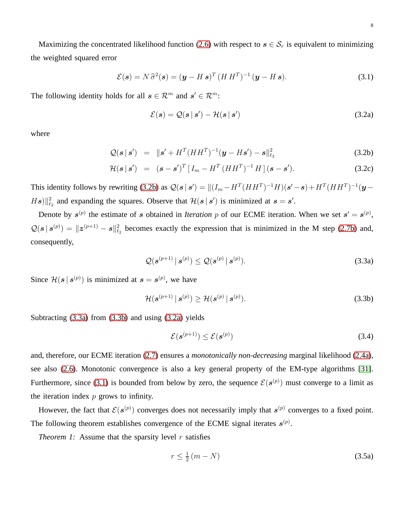Maximizing the concentrated likelihood function [\(2.6\)](#page-5-3) with respect to  $s \in S_r$  is equivalent to minimizing the weighted squared error

<span id="page-7-2"></span>
$$
\mathcal{E}(\mathbf{s}) = N \hat{\sigma}^2(\mathbf{s}) = (\mathbf{y} - H \mathbf{s})^T (H H^T)^{-1} (\mathbf{y} - H \mathbf{s}). \tag{3.1}
$$

The following identity holds for all  $s \in \mathcal{R}^m$  and  $s' \in \mathcal{R}^m$ :

$$
\mathcal{E}(\mathbf{s}) = \mathcal{Q}(\mathbf{s} \mid \mathbf{s}') - \mathcal{H}(\mathbf{s} \mid \mathbf{s}') \tag{3.2a}
$$

where

<span id="page-7-0"></span>
$$
Q(s \,|\, s') = \|s' + H^T (HH^T)^{-1} (\boldsymbol{y} - H\boldsymbol{s}') - \boldsymbol{s}\|_{\ell_2}^2 \tag{3.2b}
$$

$$
\mathcal{H}(\boldsymbol{s} \,|\, \boldsymbol{s}') \quad = \quad (\boldsymbol{s} - \boldsymbol{s}')^T \left[ \, I_m - H^T \left( H H^T \right)^{-1} H \, \right] (\boldsymbol{s} - \boldsymbol{s}'). \tag{3.2c}
$$

This identity follows by rewriting [\(3.2b\)](#page-7-0) as  $Q(s | s') = ||(I_m - H^T(HH^T)^{-1}H)(s'-s) + H^T(HH^T)^{-1}(\mathbf{y} H\mathbf{s}$ )  $\|\mathbf{z}_2$  and expanding the squares. Observe that  $\mathcal{H}(\mathbf{s} | \mathbf{s}')$  is minimized at  $\mathbf{s} = \mathbf{s}'$ .

Denote by  $s^{(p)}$  the estimate of s obtained in *Iteration* p of our ECME iteration. When we set  $s' = s^{(p)}$ ,  $\mathcal{Q}(s \mid s^{(p)}) = \|z^{(p+1)} - s\|_{\ell_2}^2$  becomes exactly the expression that is minimized in the M step [\(2.7b\)](#page-6-1) and, consequently,

$$
\mathcal{Q}(\boldsymbol{s}^{(p+1)} | \boldsymbol{s}^{(p)}) \leq \mathcal{Q}(\boldsymbol{s}^{(p)} | \boldsymbol{s}^{(p)}).
$$
\n(3.3a)

Since  $\mathcal{H}(\mathbf{s} \mid \mathbf{s}^{(p)})$  is minimized at  $\mathbf{s} = \mathbf{s}^{(p)}$ , we have

<span id="page-7-1"></span>
$$
\mathcal{H}(\mathbf{s}^{(p+1)} | \mathbf{s}^{(p)}) \ge \mathcal{H}(\mathbf{s}^{(p)} | \mathbf{s}^{(p)}).
$$
\n(3.3b)

Subtracting [\(3.3a\)](#page-7-1) from [\(3.3b\)](#page-7-1) and using [\(3.2a\)](#page-7-0) yields

$$
\mathcal{E}(\mathbf{s}^{(p+1)}) \le \mathcal{E}(\mathbf{s}^{(p)})\tag{3.4}
$$

and, therefore, our ECME iteration [\(2.7\)](#page-6-1) ensures a *monotonically non-decreasing* marginal likelihood [\(2.4a\)](#page-5-1), see also [\(2.6\)](#page-5-3). Monotonic convergence is also a key general property of the EM-type algorithms [\[31\]](#page-38-21). Furthermore, since [\(3.1\)](#page-7-2) is bounded from below by zero, the sequence  $\mathcal{E}(s^{(p)})$  must converge to a limit as the iteration index  $p$  grows to infinity.

However, the fact that  $\mathcal{E}(s^{(p)})$  converges does not necessarily imply that  $s^{(p)}$  converges to a fixed point. The following theorem establishes convergence of the ECME signal iterates  $s^{(p)}$ .

*Theorem 1:* Assume that the sparsity level  $r$  satisfies

$$
r \le \frac{1}{2}(m - N) \tag{3.5a}
$$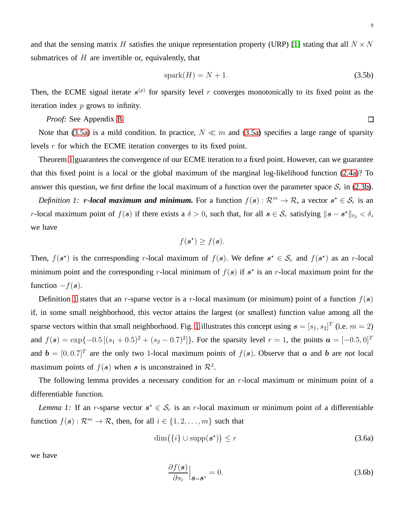and that the sensing matrix H satisfies the unique representation property (URP) [\[1\]](#page-37-0) stating that all  $N \times N$ submatrices of  $H$  are invertible or, equivalently, that

<span id="page-8-0"></span>
$$
spark(H) = N + 1.
$$
\n(3.5b)

Then, the ECME signal iterate  $s^{(p)}$  for sparsity level r converges monotonically to its fixed point as the iteration index  $p$  grows to infinity.

*Proof:* See Appendix [B.](#page-29-0)

Note that [\(3.5a\)](#page-8-0) is a mild condition. In practice,  $N \ll m$  and (3.5a) specifies a large range of sparsity levels r for which the ECME iteration converges to its fixed point.

Theorem [1](#page-8-0) guarantees the convergence of our ECME iteration to a fixed point. However, can we guarantee that this fixed point is a local or the global maximum of the marginal log-likelihood function [\(2.4a\)](#page-5-1)? To answer this question, we first define the local maximum of a function over the parameter space  $S_r$  in [\(2.3b\)](#page-4-2).

<span id="page-8-1"></span>*Definition 1:* r-local maximum and minimum. For a function  $f(s)$  :  $\mathcal{R}^m \to \mathcal{R}$ , a vector  $s^* \in \mathcal{S}_r$  is an r-local maximum point of  $f(s)$  if there exists a  $\delta > 0$ , such that, for all  $s \in S_r$  satisfying  $||s - s^*||_{\ell_2} < \delta$ , we have

$$
f(\mathbf{s}^{\star}) \ge f(\mathbf{s}).
$$

Then,  $f(s^*)$  is the corresponding r-local maximum of  $f(s)$ . We define  $s^* \in S_r$  and  $f(s^*)$  as an r-local minimum point and the corresponding r-local minimum of  $f(s)$  if  $s^*$  is an r-local maximum point for the function  $-f(s)$ .

Definition [1](#page-8-1) states that an r-sparse vector is a r-local maximum (or minimum) point of a function  $f(s)$ if, in some small neighborhood, this vector attains the largest (or smallest) function value among all the sparse vectors within that small neighborhood. Fig. [1](#page-9-0) illustrates this concept using  $\mathbf{s} = [s_1, s_2]^T$  (i.e.  $m = 2$ ) and  $f(\mathbf{s}) = \exp\{-0.5\left[ (s_1 + 0.5)^2 + (s_2 - 0.7)^2 \right] \}$ . For the sparsity level  $r = 1$ , the points  $\mathbf{a} = [-0.5, 0]^T$ and  $\mathbf{b} = [0, 0.7]^T$  are the only two 1-local maximum points of  $f(\mathbf{s})$ . Observe that  $\mathbf{a}$  and  $\mathbf{b}$  are *not* local maximum points of  $f(s)$  when s is unconstrained in  $\mathcal{R}^2$ .

<span id="page-8-3"></span>The following lemma provides a necessary condition for an  $r$ -local maximum or minimum point of a differentiable function.

*Lemma 1:* If an *r*-sparse vector  $s^* \in S_r$  is an *r*-local maximum or minimum point of a differentiable function  $f(\mathbf{s}) : \mathcal{R}^m \to \mathcal{R}$ , then, for all  $i \in \{1, 2, ..., m\}$  such that

$$
\dim(\{i\} \cup \text{supp}(\boldsymbol{s}^{\star})\leq r \tag{3.6a}
$$

we have

<span id="page-8-2"></span>
$$
\left. \frac{\partial f(\mathbf{s})}{\partial s_i} \right|_{\mathbf{s} = \mathbf{s}^\star} = 0. \tag{3.6b}
$$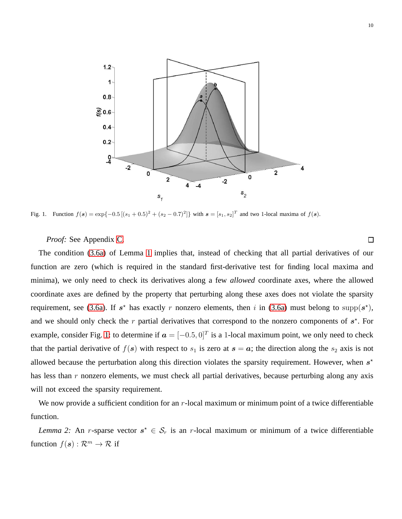

Fig. 1. Function  $f(s) = \exp\{-0.5[(s_1 + 0.5)^2 + (s_2 - 0.7)^2]\}$  with  $s = [s_1, s_2]^T$  and two 1-local maxima of  $f(s)$ .

<span id="page-9-0"></span>*Proof:* See Appendix [C.](#page-30-0)

The condition [\(3.6a\)](#page-8-2) of Lemma [1](#page-8-3) implies that, instead of checking that all partial derivatives of our function are zero (which is required in the standard first-derivative test for finding local maxima and minima), we only need to check its derivatives along a few *allowed* coordinate axes, where the allowed coordinate axes are defined by the property that perturbing along these axes does not violate the sparsity requirement, see [\(3.6a\)](#page-8-2). If  $s^*$  has exactly r nonzero elements, then i in (3.6a) must belong to supp $(s^*),$ and we should only check the  $r$  partial derivatives that correspond to the nonzero components of  $s^*$ . For example, consider Fig. [1:](#page-9-0) to determine if  $\mathbf{a} = [-0.5, 0]^T$  is a 1-local maximum point, we only need to check that the partial derivative of  $f(s)$  with respect to  $s_1$  is zero at  $s = a$ ; the direction along the  $s_2$  axis is not allowed because the perturbation along this direction violates the sparsity requirement. However, when  $s<sup>*</sup>$ has less than r nonzero elements, we must check all partial derivatives, because perturbing along any axis will not exceed the sparsity requirement.

<span id="page-9-1"></span>We now provide a sufficient condition for an  $r$ -local maximum or minimum point of a twice differentiable function.

*Lemma 2:* An r-sparse vector  $s^* \in S_r$  is an r-local maximum or minimum of a twice differentiable function  $f(\mathbf{s}) : \mathcal{R}^m \to \mathcal{R}$  if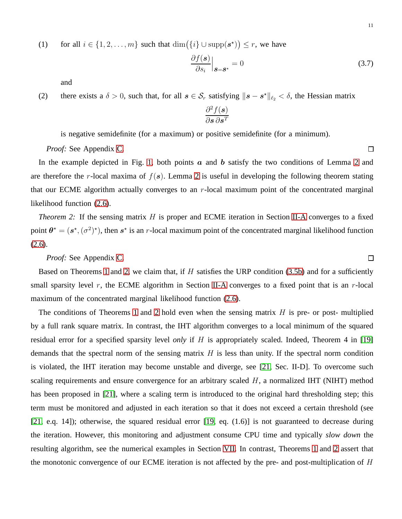(1) for all  $i \in \{1, 2, ..., m\}$  such that  $\dim(\{i\} \cup \text{supp}(\mathbf{s}^*) ) \leq r$ , we have

<span id="page-10-1"></span>
$$
\left. \frac{\partial f(\mathbf{s})}{\partial s_i} \right|_{\mathbf{s} = \mathbf{s}^\star} = 0 \tag{3.7}
$$

and

(2) there exists a  $\delta > 0$ , such that, for all  $s \in S_r$  satisfying  $\|s - s^*\|_{\ell_2} < \delta$ , the Hessian matrix

$$
\frac{\partial^2 f(\bm{s})}{\partial \bm{s} \, \partial \bm{s}^T}
$$

is negative semidefinite (for a maximum) or positive semidefinite (for a minimum).

*Proof:* See Appendix [C.](#page-30-0)

In the example depicted in Fig. [1,](#page-9-0) both points  $\alpha$  and  $\dot{\beta}$  b satisfy the two conditions of Lemma [2](#page-9-1) and are therefore the r-local maxima of  $f(s)$ . Lemma [2](#page-9-1) is useful in developing the following theorem stating that our ECME algorithm actually converges to an r-local maximum point of the concentrated marginal likelihood function [\(2.6\)](#page-5-3).

<span id="page-10-0"></span>*Theorem 2:* If the sensing matrix H is proper and ECME iteration in Section [II-A](#page-5-0) converges to a fixed point  $\theta^* = (s^*, (\sigma^2)^*)$ , then  $s^*$  is an r-local maximum point of the concentrated marginal likelihood function [\(2.6\)](#page-5-3).

*Proof:* See Appendix [C.](#page-30-0)

Based on Theorems [1](#page-8-0) and [2,](#page-10-0) we claim that, if  $H$  satisfies the URP condition [\(3.5b\)](#page-8-0) and for a sufficiently small sparsity level  $r$ , the ECME algorithm in Section [II-A](#page-5-0) converges to a fixed point that is an  $r$ -local maximum of the concentrated marginal likelihood function [\(2.6\)](#page-5-3).

The conditions of Theorems [1](#page-8-0) and [2](#page-10-0) hold even when the sensing matrix  $H$  is pre- or post- multiplied by a full rank square matrix. In contrast, the IHT algorithm converges to a local minimum of the squared residual error for a specified sparsity level *only* if H is appropriately scaled. Indeed, Theorem 4 in [\[19\]](#page-38-16) demands that the spectral norm of the sensing matrix  $H$  is less than unity. If the spectral norm condition is violated, the IHT iteration may become unstable and diverge, see [\[21,](#page-38-11) Sec. II-D]. To overcome such scaling requirements and ensure convergence for an arbitrary scaled  $H$ , a normalized IHT (NIHT) method has been proposed in [\[21\]](#page-38-11), where a scaling term is introduced to the original hard thresholding step; this term must be monitored and adjusted in each iteration so that it does not exceed a certain threshold (see [\[21,](#page-38-11) e.q. 14]); otherwise, the squared residual error [\[19,](#page-38-16) eq. (1.6)] is not guaranteed to decrease during the iteration. However, this monitoring and adjustment consume CPU time and typically *slow down* the resulting algorithm, see the numerical examples in Section [VII.](#page-21-1) In contrast, Theorems [1](#page-8-0) and [2](#page-10-0) assert that the monotonic convergence of our ECME iteration is not affected by the pre- and post-multiplication of  $H$ 

 $\Box$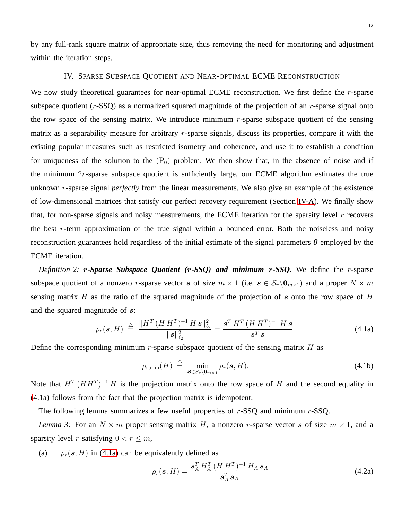<span id="page-11-0"></span>by any full-rank square matrix of appropriate size, thus removing the need for monitoring and adjustment within the iteration steps.

#### IV. SPARSE SUBSPACE QUOTIENT AND NEAR-OPTIMAL ECME RECONSTRUCTION

We now study theoretical guarantees for near-optimal ECME reconstruction. We first define the  $r$ -sparse subspace quotient  $(r-SSQ)$  as a normalized squared magnitude of the projection of an  $r$ -sparse signal onto the row space of the sensing matrix. We introduce minimum  $r$ -sparse subspace quotient of the sensing matrix as a separability measure for arbitrary  $r$ -sparse signals, discuss its properties, compare it with the existing popular measures such as restricted isometry and coherence, and use it to establish a condition for uniqueness of the solution to the  $(P_0)$  problem. We then show that, in the absence of noise and if the minimum  $2r$ -sparse subspace quotient is sufficiently large, our ECME algorithm estimates the true unknown r-sparse signal *perfectly* from the linear measurements. We also give an example of the existence of low-dimensional matrices that satisfy our perfect recovery requirement (Section [IV-A\)](#page-16-1). We finally show that, for non-sparse signals and noisy measurements, the ECME iteration for the sparsity level  $r$  recovers the best r-term approximation of the true signal within a bounded error. Both the noiseless and noisy reconstruction guarantees hold regardless of the initial estimate of the signal parameters  $\theta$  employed by the ECME iteration.

*Definition 2:* r*-Sparse Subspace Quotient (*r*-SSQ) and minimum* r*-SSQ.* We define the r-sparse subspace quotient of a nonzero r-sparse vector s of size  $m \times 1$  (i.e.  $s \in S_r \setminus 0_{m \times 1}$ ) and a proper  $N \times m$ sensing matrix H as the ratio of the squared magnitude of the projection of s onto the row space of H and the squared magnitude of s:

$$
\rho_r(\mathbf{s}, H) \triangleq \frac{\|H^T (H H^T)^{-1} H \, \mathbf{s}\|_{\ell_2}^2}{\|\mathbf{s}\|_{\ell_2}^2} = \frac{\mathbf{s}^T H^T (H H^T)^{-1} H \, \mathbf{s}}{\mathbf{s}^T \, \mathbf{s}}.
$$
\n(4.1a)

Define the corresponding minimum r-sparse subspace quotient of the sensing matrix  $H$  as

<span id="page-11-1"></span>
$$
\rho_{r,\min}(H) \stackrel{\triangle}{=} \min_{\boldsymbol{\mathcal{S}} \in \mathcal{S}_r \setminus \boldsymbol{0}_{m \times 1}} \rho_r(\boldsymbol{\mathcal{S}}, H). \tag{4.1b}
$$

Note that  $H^{T}(HH^{T})^{-1}H$  is the projection matrix onto the row space of H and the second equality in [\(4.1a\)](#page-11-1) follows from the fact that the projection matrix is idempotent.

The following lemma summarizes a few useful properties of  $r$ -SSQ and minimum  $r$ -SSQ.

*Lemma 3:* For an  $N \times m$  proper sensing matrix H, a nonzero r-sparse vector s of size  $m \times 1$ , and a sparsity level r satisfying  $0 < r \le m$ ,

(a)  $\rho_r(\mathbf{s}, H)$  in [\(4.1a\)](#page-11-1) can be equivalently defined as

<span id="page-11-2"></span>
$$
\rho_r(\mathbf{s}, H) = \frac{\mathbf{s}_A^T H_A^T (H H^T)^{-1} H_A \mathbf{s}_A}{\mathbf{s}_A^T \mathbf{s}_A}
$$
(4.2a)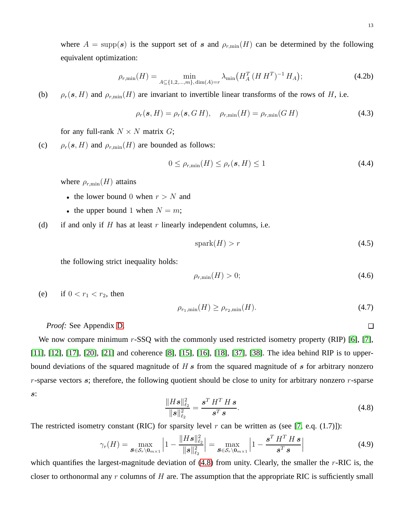where  $A = \text{supp}(s)$  is the support set of s and  $\rho_{r,\text{min}}(H)$  can be determined by the following equivalent optimization:

<span id="page-12-3"></span>
$$
\rho_{r,\min}(H) = \min_{A \subseteq \{1,2,\dots,m\}, \dim(A) = r} \lambda_{\min}\big(H_A^T(H H^T)^{-1} H_A\big); \tag{4.2b}
$$

(b)  $\rho_r(s, H)$  and  $\rho_{r,\min}(H)$  are invariant to invertible linear transforms of the rows of H, i.e.

$$
\rho_r(\mathbf{s}, H) = \rho_r(\mathbf{s}, G H), \quad \rho_{r,\min}(H) = \rho_{r,\min}(G H) \tag{4.3}
$$

for any full-rank  $N \times N$  matrix  $G$ ;

(c)  $\rho_r(\mathbf{s}, H)$  and  $\rho_{r,\min}(H)$  are bounded as follows:

<span id="page-12-2"></span>
$$
0 \leq \rho_{r,\min}(H) \leq \rho_r(\mathbf{s}, H) \leq 1 \tag{4.4}
$$

where  $\rho_{r,\min}(H)$  attains

- the lower bound 0 when  $r > N$  and
- the upper bound 1 when  $N = m$ ;
- (d) if and only if  $H$  has at least  $r$  linearly independent columns, i.e.

<span id="page-12-4"></span>
$$
spark(H) > r \tag{4.5}
$$

the following strict inequality holds:

<span id="page-12-5"></span>
$$
\rho_{r,\min}(H) > 0;\tag{4.6}
$$

(e) if  $0 < r_1 < r_2$ , then

$$
\rho_{r_1,\min}(H) \ge \rho_{r_2,\min}(H). \tag{4.7}
$$

*Proof:* See Appendix [D.](#page-34-0)

We now compare minimum  $r$ -SSQ with the commonly used restricted isometry property (RIP) [\[6\]](#page-37-1), [\[7\]](#page-38-18), [\[11\]](#page-38-3), [\[12\]](#page-38-4), [\[17\]](#page-38-9), [\[20\]](#page-38-17), [\[21\]](#page-38-11) and coherence [\[8\]](#page-38-0), [\[15\]](#page-38-7), [\[16\]](#page-38-8), [\[18\]](#page-38-10), [\[37\]](#page-38-24), [\[38\]](#page-38-25). The idea behind RIP is to upperbound deviations of the squared magnitude of  $H s$  from the squared magnitude of s for arbitrary nonzero  $r$ -sparse vectors s; therefore, the following quotient should be close to unity for arbitrary nonzero  $r$ -sparse s:

<span id="page-12-0"></span>
$$
\frac{\|H\boldsymbol{s}\|_{\ell_2}^2}{\|\boldsymbol{s}\|_{\ell_2}^2} = \frac{\boldsymbol{s}^T H^T H \, \boldsymbol{s}}{\boldsymbol{s}^T \, \boldsymbol{s}}.
$$
\n(4.8)

The restricted isometry constant (RIC) for sparsity level  $r$  can be written as (see [\[7,](#page-38-18) e.q. (1.7)]):

<span id="page-12-1"></span>
$$
\gamma_r(H) = \max_{\mathbf{S} \in \mathcal{S}_r \setminus \mathbf{0}_{m \times 1}} \left| 1 - \frac{\|H\mathbf{s}\|_{\ell_2}^2}{\|\mathbf{s}\|_{\ell_2}^2} \right| = \max_{\mathbf{S} \in \mathcal{S}_r \setminus \mathbf{0}_{m \times 1}} \left| 1 - \frac{\mathbf{s}^T H^T H \, \mathbf{s}}{\mathbf{s}^T \, \mathbf{s}} \right| \tag{4.9}
$$

which quantifies the largest-magnitude deviation of  $(4.8)$  from unity. Clearly, the smaller the r-RIC is, the closer to orthonormal any  $r$  columns of  $H$  are. The assumption that the appropriate RIC is sufficiently small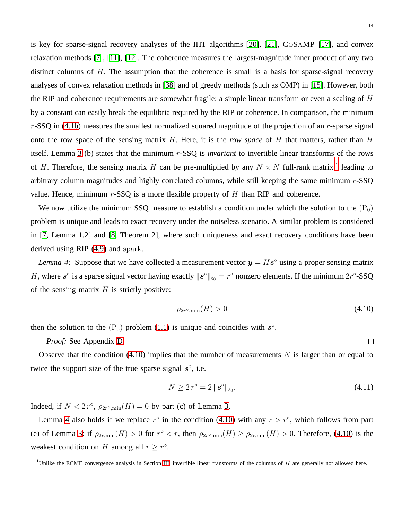14

is key for sparse-signal recovery analyses of the IHT algorithms [\[20\]](#page-38-17), [\[21\]](#page-38-11), COSAMP [\[17\]](#page-38-9), and convex relaxation methods [\[7\]](#page-38-18), [\[11\]](#page-38-3), [\[12\]](#page-38-4). The coherence measures the largest-magnitude inner product of any two distinct columns of  $H$ . The assumption that the coherence is small is a basis for sparse-signal recovery analyses of convex relaxation methods in [\[38\]](#page-38-25) and of greedy methods (such as OMP) in [\[15\]](#page-38-7). However, both the RIP and coherence requirements are somewhat fragile: a simple linear transform or even a scaling of  $H$ by a constant can easily break the equilibria required by the RIP or coherence. In comparison, the minimum  $r$ -SSQ in [\(4.1b\)](#page-11-1) measures the smallest normalized squared magnitude of the projection of an  $r$ -sparse signal onto the row space of the sensing matrix H. Here, it is the *row space* of H that matters, rather than H itself. Lemma [3](#page-11-2) (b) states that the minimum r-SSQ is *invariant* to invertible linear transforms of the rows of H. Therefore, the sensing matrix H can be pre-multiplied by any  $N \times N$  full-rank matrix,<sup>[1](#page-13-0)</sup> leading to arbitrary column magnitudes and highly correlated columns, while still keeping the same minimum  $r$ -SSQ value. Hence, minimum  $r$ -SSQ is a more flexible property of  $H$  than RIP and coherence.

We now utilize the minimum SSQ measure to establish a condition under which the solution to the  $(P_0)$ problem is unique and leads to exact recovery under the noiseless scenario. A similar problem is considered in [\[7,](#page-38-18) Lemma 1.2] and [\[8,](#page-38-0) Theorem 2], where such uniqueness and exact recovery conditions have been derived using RIP [\(4.9\)](#page-12-1) and spark.

*Lemma 4:* Suppose that we have collected a measurement vector  $y = Hs^{\circ}$  using a proper sensing matrix H, where  $s^{\circ}$  is a sparse signal vector having exactly  $||s^{\circ}||_{\ell_0} = r^{\circ}$  nonzero elements. If the minimum  $2r^{\circ}$ -SSQ of the sensing matrix  $H$  is strictly positive:

<span id="page-13-2"></span><span id="page-13-1"></span>
$$
\rho_{2r^{\diamond},\min}(H) > 0\tag{4.10}
$$

then the solution to the  $(P_0)$  problem [\(1.1\)](#page-0-0) is unique and coincides with  $s^{\circ}$ .

*Proof:* See Appendix [D.](#page-34-0)

Observe that the condition [\(4.10\)](#page-13-1) implies that the number of measurements  $N$  is larger than or equal to twice the support size of the true sparse signal  $s^{\circ}$ , i.e.

$$
N \ge 2 r^{\diamond} = 2 \|s^{\diamond}\|_{\ell_0}.
$$
\n(4.11)

Indeed, if  $N < 2r^{\circ}$ ,  $\rho_{2r^{\circ},\min}(H) = 0$  by part (c) of Lemma [3.](#page-11-2)

Lemma [4](#page-13-2) also holds if we replace  $r^{\circ}$  in the condition [\(4.10\)](#page-13-1) with any  $r > r^{\circ}$ , which follows from part (e) of Lemma [3:](#page-11-2) if  $\rho_{2r,\min}(H) > 0$  for  $r^{\circ} < r$ , then  $\rho_{2r^{\circ},\min}(H) \ge \rho_{2r,\min}(H) > 0$ . Therefore, [\(4.10\)](#page-13-1) is the weakest condition on H among all  $r \ge r^{\circ}$ .

<span id="page-13-0"></span><sup>&</sup>lt;sup>1</sup>Unlike the ECME convergence analysis in Section [III,](#page-6-0) invertible linear transforms of the columns of  $H$  are generally not allowed here.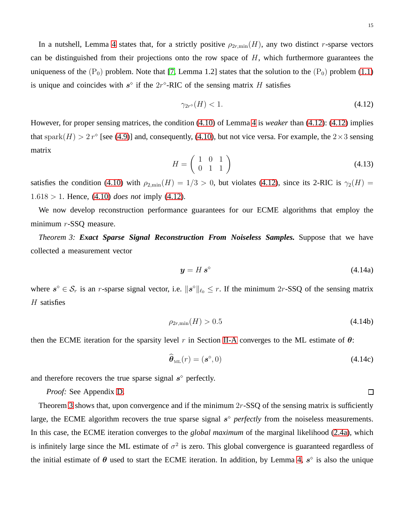In a nutshell, Lemma [4](#page-13-2) states that, for a strictly positive  $\rho_{2r,\min}(H)$ , any two distinct r-sparse vectors can be distinguished from their projections onto the row space of  $H$ , which furthermore guarantees the uniqueness of the  $(P_0)$  problem. Note that [\[7,](#page-38-18) Lemma 1.2] states that the solution to the  $(P_0)$  problem [\(1.1\)](#page-0-0) is unique and coincides with  $s^{\circ}$  if the  $2r^{\circ}$ -RIC of the sensing matrix H satisfies

<span id="page-14-0"></span>
$$
\gamma_{2r^{\diamond}}(H) < 1. \tag{4.12}
$$

However, for proper sensing matrices, the condition [\(4.10\)](#page-13-1) of Lemma [4](#page-13-2) is *weaker* than [\(4.12\)](#page-14-0): [\(4.12\)](#page-14-0) implies that spark $(H) > 2r^{\circ}$  [see [\(4.9\)](#page-12-1)] and, consequently, [\(4.10\)](#page-13-1), but not vice versa. For example, the  $2 \times 3$  sensing matrix

$$
H = \left(\begin{array}{ccc} 1 & 0 & 1 \\ 0 & 1 & 1 \end{array}\right) \tag{4.13}
$$

satisfies the condition [\(4.10\)](#page-13-1) with  $\rho_{2,\text{min}}(H) = 1/3 > 0$ , but violates [\(4.12\)](#page-14-0), since its 2-RIC is  $\gamma_2(H)$  = 1.618 > 1. Hence, [\(4.10\)](#page-13-1) *does not* imply [\(4.12\)](#page-14-0).

<span id="page-14-1"></span>We now develop reconstruction performance guarantees for our ECME algorithms that employ the minimum r-SSQ measure.

*Theorem 3: Exact Sparse Signal Reconstruction From Noiseless Samples.* Suppose that we have collected a measurement vector

$$
y = H s^{\diamond} \tag{4.14a}
$$

where  $s^{\circ} \in S_r$  is an r-sparse signal vector, i.e.  $||s^{\circ}||_{\ell_0} \leq r$ . If the minimum 2r-SSQ of the sensing matrix  $H$  satisfies

$$
\rho_{2r,\min}(H) > 0.5\tag{4.14b}
$$

then the ECME iteration for the sparsity level r in Section [II-A](#page-5-0) converges to the ML estimate of  $\theta$ :

<span id="page-14-2"></span>
$$
\widehat{\boldsymbol{\theta}}_{\text{ML}}(r) = (\boldsymbol{s}^{\diamond}, 0) \tag{4.14c}
$$

and therefore recovers the true sparse signal  $s^{\circ}$  perfectly.

*Proof:* See Appendix [D.](#page-34-0)

Theorem [3](#page-14-1) shows that, upon convergence and if the minimum  $2r$ -SSQ of the sensing matrix is sufficiently large, the ECME algorithm recovers the true sparse signal  $s^{\circ}$  *perfectly* from the noiseless measurements. In this case, the ECME iteration converges to the *global maximum* of the marginal likelihood [\(2.4a\)](#page-5-1), which is infinitely large since the ML estimate of  $\sigma^2$  is zero. This global convergence is guaranteed regardless of the initial estimate of  $\theta$  used to start the ECME iteration. In addition, by Lemma [4,](#page-13-2)  $s^{\circ}$  is also the unique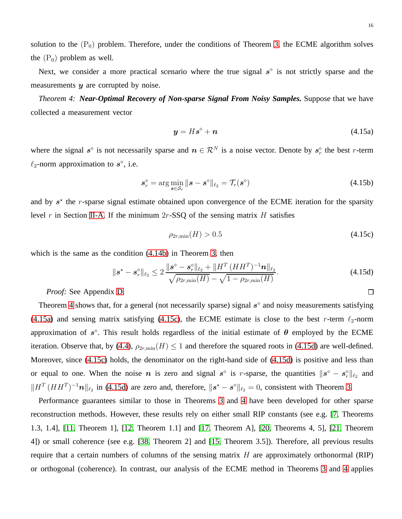16

 $\Box$ 

solution to the  $(P_0)$  problem. Therefore, under the conditions of Theorem [3,](#page-14-1) the ECME algorithm solves the  $(P_0)$  problem as well.

<span id="page-15-0"></span>Next, we consider a more practical scenario where the true signal  $s^{\circ}$  is not strictly sparse and the measurements  $y$  are corrupted by noise.

*Theorem 4: Near-Optimal Recovery of Non-sparse Signal From Noisy Samples.* Suppose that we have collected a measurement vector

$$
y = Hs^{\diamond} + n \tag{4.15a}
$$

where the signal  $s^{\circ}$  is not necessarily sparse and  $n \in \mathcal{R}^{N}$  is a noise vector. Denote by  $s_r^{\circ}$  the best r-term  $\ell_2$ -norm approximation to  $s^{\circ}$ , i.e.

$$
\mathbf{s}_r^\diamond = \arg\min_{\mathbf{s}\in\mathcal{S}_r} \|\mathbf{s} - \mathbf{s}^\diamond\|_{\ell_2} = \mathcal{T}_r(\mathbf{s}^\diamond)
$$
(4.15b)

and by  $s^*$  the r-sparse signal estimate obtained upon convergence of the ECME iteration for the sparsity level r in Section [II-A.](#page-5-0) If the minimum  $2r$ -SSQ of the sensing matrix H satisfies

$$
\rho_{2r,\min}(H) > 0.5\tag{4.15c}
$$

which is the same as the condition [\(4.14b\)](#page-14-2) in Theorem [3,](#page-14-1) then

<span id="page-15-1"></span>
$$
\|\mathbf{s}^* - \mathbf{s}_r^{\diamond}\|_{\ell_2} \le 2 \frac{\|\mathbf{s}^{\diamond} - \mathbf{s}_r^{\diamond}\|_{\ell_2} + \|H^T (HH^T)^{-1} \mathbf{n}\|_{\ell_2}}{\sqrt{\rho_{2r,\min}(H)} - \sqrt{1 - \rho_{2r,\min}(H)}}.
$$
\n(4.15d)

*Proof:* See Appendix [D.](#page-34-0)

Theorem [4](#page-15-0) shows that, for a general (not necessarily sparse) signal  $s^{\circ}$  and noisy measurements satisfying [\(4.15a\)](#page-15-1) and sensing matrix satisfying [\(4.15c\)](#page-15-1), the ECME estimate is close to the best r-term  $\ell_2$ -norm approximation of  $s^{\circ}$ . This result holds regardless of the initial estimate of  $\theta$  employed by the ECME iteration. Observe that, by [\(4.4\)](#page-12-2),  $\rho_{2r,\min}(H) \leq 1$  and therefore the squared roots in [\(4.15d\)](#page-15-1) are well-defined. Moreover, since [\(4.15c\)](#page-15-1) holds, the denominator on the right-hand side of [\(4.15d\)](#page-15-1) is positive and less than or equal to one. When the noise *n* is zero and signal  $s^{\circ}$  is *r*-sparse, the quantities  $||s^{\circ} - s_r^{\circ}||_{\ell_2}$  and  $\|H^T(HH^T)^{-1}\mathbf{n}\|_{\ell_2}$  in [\(4.15d\)](#page-15-1) are zero and, therefore,  $\|\mathbf{s}^* - \mathbf{s}^{\circ}\|_{\ell_2} = 0$ , consistent with Theorem [3.](#page-14-1)

Performance guarantees similar to those in Theorems [3](#page-14-1) and [4](#page-15-0) have been developed for other sparse reconstruction methods. However, these results rely on either small RIP constants (see e.g. [\[7,](#page-38-18) Theorems 1.3, 1.4], [\[11,](#page-38-3) Theorem 1], [\[12,](#page-38-4) Theorem 1.1] and [\[17,](#page-38-9) Theorem A], [\[20,](#page-38-17) Theorems 4, 5], [\[21,](#page-38-11) Theorem 4]) or small coherence (see e.g. [\[38,](#page-38-25) Theorem 2] and [\[15,](#page-38-7) Theorem 3.5]). Therefore, all previous results require that a certain numbers of columns of the sensing matrix  $H$  are approximately orthonormal (RIP) or orthogonal (coherence). In contrast, our analysis of the ECME method in Theorems [3](#page-14-1) and [4](#page-15-0) applies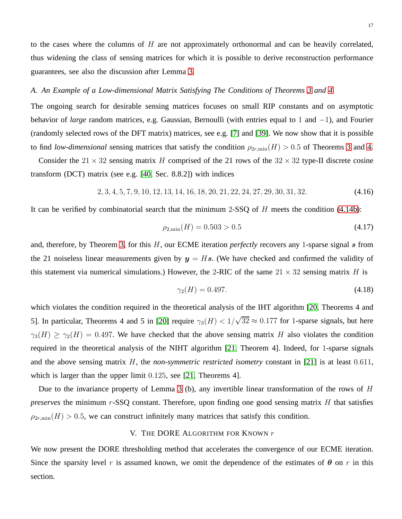to the cases where the columns of  $H$  are not approximately orthonormal and can be heavily correlated, thus widening the class of sensing matrices for which it is possible to derive reconstruction performance guarantees, see also the discussion after Lemma [3.](#page-11-2)

#### <span id="page-16-1"></span>*A. An Example of a Low-dimensional Matrix Satisfying The Conditions of Theorems [3](#page-14-1) and [4](#page-15-0)*

The ongoing search for desirable sensing matrices focuses on small RIP constants and on asymptotic behavior of *large* random matrices, e.g. Gaussian, Bernoulli (with entries equal to 1 and −1), and Fourier (randomly selected rows of the DFT matrix) matrices, see e.g. [\[7\]](#page-38-18) and [\[39\]](#page-38-26). We now show that it is possible to find *low-dimensional* sensing matrices that satisfy the condition  $\rho_{2r,\text{min}}(H) > 0.5$  of Theorems [3](#page-14-1) and [4.](#page-15-0)

Consider the  $21 \times 32$  sensing matrix H comprised of the 21 rows of the  $32 \times 32$  type-II discrete cosine transform (DCT) matrix (see e.g. [\[40,](#page-38-27) Sec. 8.8.2]) with indices

$$
2, 3, 4, 5, 7, 9, 10, 12, 13, 14, 16, 18, 20, 21, 22, 24, 27, 29, 30, 31, 32. \tag{4.16}
$$

It can be verified by combinatorial search that the minimum 2-SSQ of  $H$  meets the condition [\(4.14b\)](#page-14-2):

$$
\rho_{2,\min}(H) = 0.503 > 0.5\tag{4.17}
$$

and, therefore, by Theorem [3,](#page-14-1) for this H, our ECME iteration *perfectly* recovers any 1-sparse signal s from the 21 noiseless linear measurements given by  $y = Hs$ . (We have checked and confirmed the validity of this statement via numerical simulations.) However, the 2-RIC of the same  $21 \times 32$  sensing matrix H is

$$
\gamma_2(H) = 0.497. \tag{4.18}
$$

which violates the condition required in the theoretical analysis of the IHT algorithm [\[20,](#page-38-17) Theorems 4 and 5]. In particular, Theorems 4 and 5 in [\[20\]](#page-38-17) require  $\gamma_3(H) < 1/\sqrt{32} \approx 0.177$  for 1-sparse signals, but here  $\gamma_3(H) \ge \gamma_2(H) = 0.497$ . We have checked that the above sensing matrix H also violates the condition required in the theoretical analysis of the NIHT algorithm [\[21,](#page-38-11) Theorem 4]. Indeed, for 1-sparse signals and the above sensing matrix H, the *non-symmetric restricted isometry* constant in [\[21\]](#page-38-11) is at least 0.611, which is larger than the upper limit 0.125, see [\[21,](#page-38-11) Theorems 4].

Due to the invariance property of Lemma [3](#page-11-2) (b), any invertible linear transformation of the rows of H *preserves* the minimum r-SSQ constant. Therefore, upon finding one good sensing matrix H that satisfies  $\rho_{2r,\min}(H) > 0.5$ , we can construct infinitely many matrices that satisfy this condition.

## V. THE DORE ALGORITHM FOR KNOWN  $r$

<span id="page-16-0"></span>We now present the DORE thresholding method that accelerates the convergence of our ECME iteration. Since the sparsity level r is assumed known, we omit the dependence of the estimates of  $\theta$  on r in this section.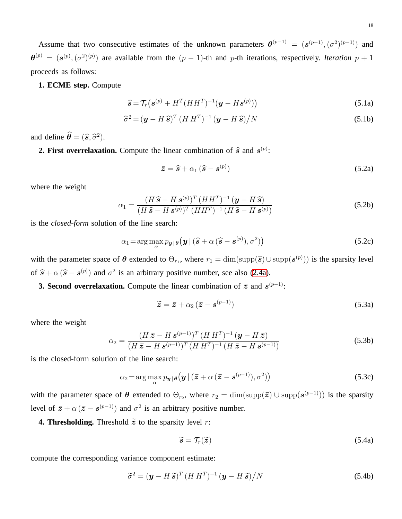Assume that two consecutive estimates of the unknown parameters  $\theta^{(p-1)} = (s^{(p-1)}, (\sigma^2)^{(p-1)})$  and  $\theta^{(p)} = (\mathbf{s}^{(p)}, (\sigma^2)^{(p)})$  are available from the  $(p-1)$ -th and p-th iterations, respectively. *Iteration*  $p+1$ proceeds as follows:

#### **1. ECME step.** Compute

<span id="page-17-0"></span>
$$
\widehat{\mathbf{s}} = \mathcal{T}_r \big( \mathbf{s}^{(p)} + H^T (HH^T)^{-1} (\mathbf{y} - H \mathbf{s}^{(p)}) \big) \tag{5.1a}
$$

$$
\widehat{\sigma}^2 = (\boldsymbol{y} - H\,\widehat{\boldsymbol{s}})^T (H\,H^T)^{-1} (\boldsymbol{y} - H\,\widehat{\boldsymbol{s}})/N \tag{5.1b}
$$

and define  $\hat{\boldsymbol{\theta}} = (\hat{\boldsymbol{s}}, \hat{\sigma}^2)$ .

**2. First overrelaxation.** Compute the linear combination of  $\hat{s}$  and  $s^{(p)}$ :

$$
\bar{z} = \hat{s} + \alpha_1 (\hat{s} - s^{(p)}) \tag{5.2a}
$$

where the weight

$$
\alpha_1 = \frac{(H\,\widehat{\mathbf{s}} - H\,\mathbf{s}^{(p)})^T\,(HH^T)^{-1}\,(\mathbf{y} - H\,\widehat{\mathbf{s}})}{(H\,\widehat{\mathbf{s}} - H\,\mathbf{s}^{(p)})^T\,(HH^T)^{-1}\,(H\,\widehat{\mathbf{s}} - H\,\mathbf{s}^{(p)})}
$$
(5.2b)

is the *closed-form* solution of the line search:

<span id="page-17-1"></span>
$$
\alpha_1 = \arg \max_{\alpha} p_{\boldsymbol{y} | \boldsymbol{\theta}} \left( \boldsymbol{y} \, | \, (\widehat{\boldsymbol{s}} + \alpha \, (\widehat{\boldsymbol{s}} - \boldsymbol{s}^{(p)}), \sigma^2) \right) \tag{5.2c}
$$

with the parameter space of  $\theta$  extended to  $\Theta_{r_1}$ , where  $r_1 = \dim(\text{supp}(\hat{s}) \cup \text{supp}(\hat{s}^{(p)}))$  is the sparsity level of  $\hat{s} + \alpha (\hat{s} - s^{(p)})$  and  $\sigma^2$  is an arbitrary positive number, see also [\(2.4a\)](#page-5-1).

**3. Second overrelaxation.** Compute the linear combination of  $\bar{z}$  and  $s^{(p-1)}$ :

$$
\widetilde{\mathbf{z}} = \overline{\mathbf{z}} + \alpha_2 (\overline{\mathbf{z}} - \mathbf{s}^{(p-1)}) \tag{5.3a}
$$

where the weight

$$
\alpha_2 = \frac{(H\,\bar{z} - H\,\mathbf{s}^{(p-1)})^T\,(H\,H^T)^{-1}\,(\mathbf{y} - H\,\bar{z})}{(H\,\bar{z} - H\,\mathbf{s}^{(p-1)})^T\,(H\,H^T)^{-1}\,(H\,\bar{z} - H\,\mathbf{s}^{(p-1)})}
$$
(5.3b)

is the closed-form solution of the line search:

<span id="page-17-2"></span>
$$
\alpha_2 = \arg \max_{\alpha} p_{\boldsymbol{y}|\boldsymbol{\theta}}(\boldsymbol{y} \mid (\bar{\boldsymbol{z}} + \alpha (\bar{\boldsymbol{z}} - \boldsymbol{s}^{(p-1)}), \sigma^2))
$$
(5.3c)

with the parameter space of  $\theta$  extended to  $\Theta_{r_2}$ , where  $r_2 = \dim(\text{supp}(\bar{z}) \cup \text{supp}(\mathbf{s}^{(p-1)}))$  is the sparsity level of  $\bar{z} + \alpha (\bar{z} - s^{(p-1)})$  and  $\sigma^2$  is an arbitrary positive number.

**4. Thresholding.** Threshold  $\tilde{z}$  to the sparsity level r:

$$
\widetilde{s} = \mathcal{T}_r(\widetilde{z}) \tag{5.4a}
$$

compute the corresponding variance component estimate:

$$
\widetilde{\sigma}^2 = (\mathbf{y} - H\widetilde{\mathbf{s}})^T (H H^T)^{-1} (\mathbf{y} - H\widetilde{\mathbf{s}}) / N
$$
\n(5.4b)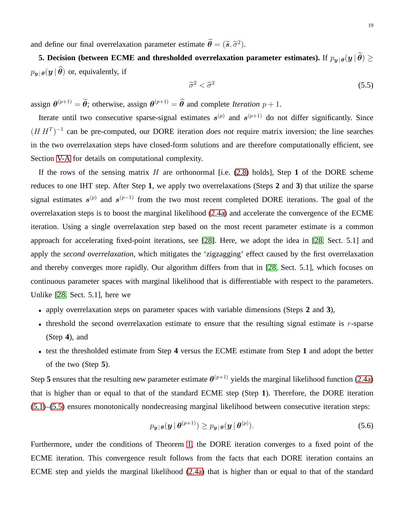and define our final overrelaxation parameter estimate  $\boldsymbol{\theta} = (\tilde{s}, \tilde{\sigma}^2)$ .

**5. Decision (between ECME and thresholded overrelaxation parameter estimates).** If  $p_{\bm{v}|\bm{\theta}}(\bm{y} | \widetilde{\bm{\theta}}) \geq$  $p_{\boldsymbol{y} | \boldsymbol{\theta}}(\boldsymbol{y} | \widehat{\boldsymbol{\theta}})$  or, equivalently, if

<span id="page-18-0"></span>
$$
\tilde{\sigma}^2 < \hat{\sigma}^2 \tag{5.5}
$$

assign  $\theta^{(p+1)} = \tilde{\theta}$ ; otherwise, assign  $\theta^{(p+1)} = \hat{\theta}$  and complete *Iteration*  $p + 1$ .

Iterate until two consecutive sparse-signal estimates  $s^{(p)}$  and  $s^{(p+1)}$  do not differ significantly. Since  $(H H<sup>T</sup>)<sup>-1</sup>$  can be pre-computed, our DORE iteration *does not* require matrix inversion; the line searches in the two overrelaxation steps have closed-form solutions and are therefore computationally efficient, see Section [V-A](#page-19-0) for details on computational complexity.

If the rows of the sensing matrix  $H$  are orthonormal [i.e.  $(2.8)$  holds], Step 1 of the DORE scheme reduces to one IHT step. After Step **1**, we apply two overrelaxations (Steps **2** and **3**) that utilize the sparse signal estimates  $s^{(p)}$  and  $s^{(p-1)}$  from the two most recent completed DORE iterations. The goal of the overrelaxation steps is to boost the marginal likelihood [\(2.4a\)](#page-5-1) and accelerate the convergence of the ECME iteration. Using a single overrelaxation step based on the most recent parameter estimate is a common approach for accelerating fixed-point iterations, see [\[28\]](#page-38-28). Here, we adopt the idea in [\[28,](#page-38-28) Sect. 5.1] and apply the *second overrelaxation*, which mitigates the 'zigzagging' effect caused by the first overrelaxation and thereby converges more rapidly. Our algorithm differs from that in [\[28,](#page-38-28) Sect. 5.1], which focuses on continuous parameter spaces with marginal likelihood that is differentiable with respect to the parameters. Unlike [\[28,](#page-38-28) Sect. 5.1], here we

- apply overrelaxation steps on parameter spaces with variable dimensions (Steps **2** and **3**),
- threshold the second overrelaxation estimate to ensure that the resulting signal estimate is  $r$ -sparse (Step **4**), and
- test the thresholded estimate from Step **4** versus the ECME estimate from Step **1** and adopt the better of the two (Step **5**).

Step 5 ensures that the resulting new parameter estimate  $\theta^{(p+1)}$  yields the marginal likelihood function [\(2.4a\)](#page-5-1) that is higher than or equal to that of the standard ECME step (Step **1**). Therefore, the DORE iteration [\(5.1\)](#page-17-0)–[\(5.5\)](#page-18-0) ensures monotonically nondecreasing marginal likelihood between consecutive iteration steps:

$$
p_{\boldsymbol{y}|\boldsymbol{\theta}}(\boldsymbol{y} \,|\, \boldsymbol{\theta}^{(p+1)}) \ge p_{\boldsymbol{y}|\boldsymbol{\theta}}(\boldsymbol{y} \,|\, \boldsymbol{\theta}^{(p)}).
$$
\n(5.6)

Furthermore, under the conditions of Theorem [1,](#page-8-0) the DORE iteration converges to a fixed point of the ECME iteration. This convergence result follows from the facts that each DORE iteration contains an ECME step and yields the marginal likelihood [\(2.4a\)](#page-5-1) that is higher than or equal to that of the standard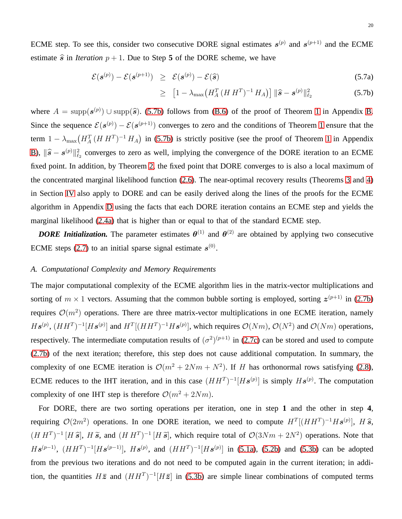ECME step. To see this, consider two consecutive DORE signal estimates  $s^{(p)}$  and  $s^{(p+1)}$  and the ECME estimate  $\hat{s}$  in *Iteration*  $p + 1$ . Due to Step 5 of the DORE scheme, we have

<span id="page-19-1"></span>
$$
\mathcal{E}(\mathbf{s}^{(p)}) - \mathcal{E}(\mathbf{s}^{(p+1)}) \geq \mathcal{E}(\mathbf{s}^{(p)}) - \mathcal{E}(\widehat{\mathbf{s}})
$$
\n(5.7a)

$$
\geq \left[1 - \lambda_{\max}\left(H_A^T \left(H \, H^T\right)^{-1} H_A\right)\right] \|\widehat{\mathbf{s}} - \mathbf{s}^{(p)}\|_{\ell_2}^2 \tag{5.7b}
$$

where  $A = \text{supp}(s^{(p)}) \cup \text{supp}(\hat{s})$ . [\(5.7b\)](#page-19-1) follows from [\(B.6\)](#page-30-1) of the proof of Theorem [1](#page-8-0) in Appendix [B.](#page-29-0) Since the sequence  $\mathcal{E}(s^{(p)}) - \mathcal{E}(s^{(p+1)})$  converges to zero and the conditions of Theorem [1](#page-8-0) ensure that the term  $1 - \lambda_{\text{max}} (H_A^T (H H^T)^{-1} H_A)$  in [\(5.7b\)](#page-19-1) is strictly positive (see the proof of Theorem [1](#page-8-0) in Appendix [B\)](#page-29-0),  $\|\hat{s} - s^{(p)}\|_{\ell_2}^2$  converges to zero as well, implying the convergence of the DORE iteration to an ECME fixed point. In addition, by Theorem [2,](#page-10-0) the fixed point that DORE converges to is also a local maximum of the concentrated marginal likelihood function [\(2.6\)](#page-5-3). The near-optimal recovery results (Theorems [3](#page-14-1) and [4\)](#page-15-0) in Section [IV](#page-11-0) also apply to DORE and can be easily derived along the lines of the proofs for the ECME algorithm in Appendix [D](#page-34-0) using the facts that each DORE iteration contains an ECME step and yields the marginal likelihood [\(2.4a\)](#page-5-1) that is higher than or equal to that of the standard ECME step.

*DORE Initialization*. The parameter estimates  $\theta^{(1)}$  and  $\theta^{(2)}$  are obtained by applying two consecutive ECME steps [\(2.7\)](#page-6-1) to an initial sparse signal estimate  $s^{(0)}$ .

#### <span id="page-19-0"></span>*A. Computational Complexity and Memory Requirements*

The major computational complexity of the ECME algorithm lies in the matrix-vector multiplications and sorting of  $m \times 1$  vectors. Assuming that the common bubble sorting is employed, sorting  $z^{(p+1)}$  in [\(2.7b\)](#page-6-1) requires  $\mathcal{O}(m^2)$  operations. There are three matrix-vector multiplications in one ECME iteration, namely  $H\mathbf{s}^{(p)}$ ,  $(HH^T)^{-1}[H\mathbf{s}^{(p)}]$  and  $H^T[(HH^T)^{-1}H\mathbf{s}^{(p)}]$ , which requires  $\mathcal{O}(Nm)$ ,  $\mathcal{O}(N^2)$  and  $\mathcal{O}(Nm)$  operations, respectively. The intermediate computation results of  $(\sigma^2)^{(p+1)}$  in [\(2.7c\)](#page-6-1) can be stored and used to compute [\(2.7b\)](#page-6-1) of the next iteration; therefore, this step does not cause additional computation. In summary, the complexity of one ECME iteration is  $\mathcal{O}(m^2 + 2Nm + N^2)$ . If H has orthonormal rows satisfying [\(2.8\)](#page-6-2), ECME reduces to the IHT iteration, and in this case  $(HH^T)^{-1}[Hs^{(p)}]$  is simply  $Hs^{(p)}$ . The computation complexity of one IHT step is therefore  $\mathcal{O}(m^2 + 2Nm)$ .

For DORE, there are two sorting operations per iteration, one in step **1** and the other in step **4**, requiring  $\mathcal{O}(2m^2)$  operations. In one DORE iteration, we need to compute  $H^T[(HH^T)^{-1}Hs^{(p)}], H\hat{s}$ ,  $(H H<sup>T</sup>)<sup>-1</sup> [H \tilde{s}]$ ,  $H \tilde{s}$ , and  $(H H<sup>T</sup>)<sup>-1</sup> [H \tilde{s}]$ , which require total of  $\mathcal{O}(3Nm + 2N<sup>2</sup>)$  operations. Note that  $H\mathbf{s}^{(p-1)}$ ,  $(HH^T)^{-1}[H\mathbf{s}^{(p-1)}]$ ,  $H\mathbf{s}^{(p)}$ , and  $(HH^T)^{-1}[H\mathbf{s}^{(p)}]$  in [\(5.1a\)](#page-17-0), [\(5.2b\)](#page-17-1) and [\(5.3b\)](#page-17-2) can be adopted from the previous two iterations and do not need to be computed again in the current iteration; in addition, the quantities  $H\bar{z}$  and  $(HH^T)^{-1}[H\bar{z}]$  in [\(5.3b\)](#page-17-2) are simple linear combinations of computed terms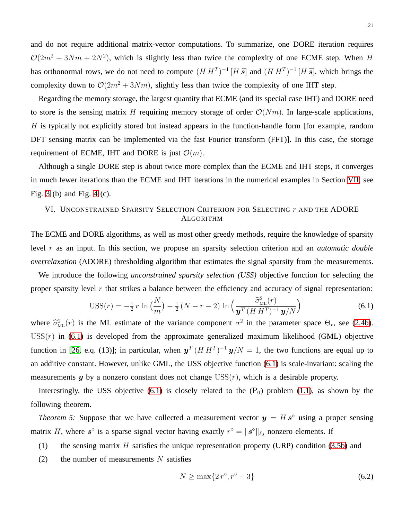and do not require additional matrix-vector computations. To summarize, one DORE iteration requires  $\mathcal{O}(2m^2 + 3Nm + 2N^2)$ , which is slightly less than twice the complexity of one ECME step. When H has orthonormal rows, we do not need to compute  $(H H^T)^{-1} [H \hat{s}]$  and  $(H H^T)^{-1} [H \hat{s}]$ , which brings the complexity down to  $\mathcal{O}(2m^2 + 3Nm)$ , slightly less than twice the complexity of one IHT step.

Regarding the memory storage, the largest quantity that ECME (and its special case IHT) and DORE need to store is the sensing matrix H requiring memory storage of order  $\mathcal{O}(Nm)$ . In large-scale applications,  $H$  is typically not explicitly stored but instead appears in the function-handle form [for example, random DFT sensing matrix can be implemented via the fast Fourier transform (FFT)]. In this case, the storage requirement of ECME, IHT and DORE is just  $\mathcal{O}(m)$ .

Although a single DORE step is about twice more complex than the ECME and IHT steps, it converges in much fewer iterations than the ECME and IHT iterations in the numerical examples in Section [VII,](#page-21-1) see Fig. [3](#page-24-0) (b) and Fig. [4](#page-26-0) (c).

# <span id="page-20-0"></span>VI. UNCONSTRAINED SPARSITY SELECTION CRITERION FOR SELECTING r AND THE ADORE ALGORITHM

The ECME and DORE algorithms, as well as most other greedy methods, require the knowledge of sparsity level r as an input. In this section, we propose an sparsity selection criterion and an *automatic double overrelaxation* (ADORE) thresholding algorithm that estimates the signal sparsity from the measurements.

We introduce the following *unconstrained sparsity selection (USS)* objective function for selecting the proper sparsity level  $r$  that strikes a balance between the efficiency and accuracy of signal representation:

<span id="page-20-1"></span>
$$
USS(r) = -\frac{1}{2}r \ln\left(\frac{N}{m}\right) - \frac{1}{2}\left(N - r - 2\right)\ln\left(\frac{\widehat{\sigma}_{ML}^2(r)}{\mathbf{y}^T \left(H H^T\right)^{-1} \mathbf{y}/N}\right) \tag{6.1}
$$

where  $\hat{\sigma}_{ML}^2(r)$  is the ML estimate of the variance component  $\sigma^2$  in the parameter space  $\Theta_r$ , see [\(2.4b\)](#page-5-1).  $USS(r)$  in [\(6.1\)](#page-20-1) is developed from the approximate generalized maximum likelihood (GML) objective function in [\[26,](#page-38-19) e.q. (13)]; in particular, when  $y^T (H H^T)^{-1} y/N = 1$ , the two functions are equal up to an additive constant. However, unlike GML, the USS objective function [\(6.1\)](#page-20-1) is scale-invariant: scaling the measurements  $y$  by a nonzero constant does not change  $USS(r)$ , which is a desirable property.

<span id="page-20-2"></span>Interestingly, the USS objective [\(6.1\)](#page-20-1) is closely related to the  $(P_0)$  problem [\(1.1\)](#page-0-0), as shown by the following theorem.

*Theorem 5:* Suppose that we have collected a measurement vector  $y = H s^{\circ}$  using a proper sensing matrix H, where  $s^{\circ}$  is a sparse signal vector having exactly  $r^{\circ} = ||s^{\circ}||_{\ell_0}$  nonzero elements. If

- (1) the sensing matrix H satisfies the unique representation property (URP) condition [\(3.5b\)](#page-8-0) and
- (2) the number of measurements  $N$  satisfies

<span id="page-20-3"></span>
$$
N \ge \max\{2r^{\diamond}, r^{\diamond} + 3\} \tag{6.2}
$$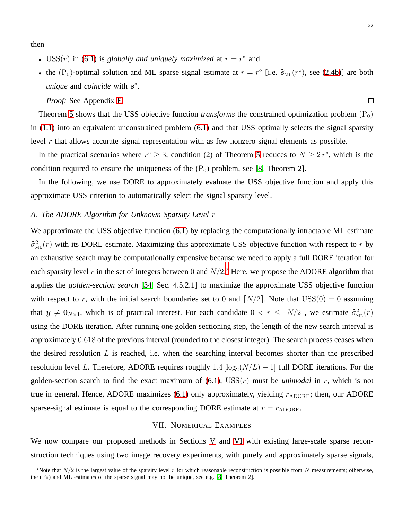then

- USS(*r*) in [\(6.1\)](#page-20-1) is *globally and uniquely maximized* at  $r = r^{\circ}$  and
- the  $(P_0)$ -optimal solution and ML sparse signal estimate at  $r = r^{\circ}$  [i.e.  $\hat{s}_{ML}(r^{\circ})$ , see [\(2.4b\)](#page-5-1)] are both *unique* and *coincide* with  $s^{\circ}$ .

*Proof:* See Appendix [E.](#page-37-2)

Theorem [5](#page-20-2) shows that the USS objective function *transforms* the constrained optimization problem  $(P_0)$ in [\(1.1\)](#page-0-0) into an equivalent unconstrained problem [\(6.1\)](#page-20-1) and that USS optimally selects the signal sparsity level r that allows accurate signal representation with as few nonzero signal elements as possible.

In the practical scenarios where  $r^{\circ} \geq 3$ , condition (2) of Theorem [5](#page-20-2) reduces to  $N \geq 2r^{\circ}$ , which is the condition required to ensure the uniqueness of the  $(P_0)$  problem, see [\[8,](#page-38-0) Theorem 2].

In the following, we use DORE to approximately evaluate the USS objective function and apply this approximate USS criterion to automatically select the signal sparsity level.

#### <span id="page-21-0"></span>*A. The ADORE Algorithm for Unknown Sparsity Level* r

We approximate the USS objective function  $(6.1)$  by replacing the computationally intractable ML estimate  $\widehat{\sigma}_{ML}^2(r)$  with its DORE estimate. Maximizing this approximate USS objective function with respect to r by an exhaustive search may be computationally expensive because we need to apply a full DORE iteration for each sparsity level r in the set of integers between 0 and  $N/2$  $N/2$ .<sup>2</sup> Here, we propose the ADORE algorithm that applies the *golden-section search* [\[34,](#page-38-29) Sec. 4.5.2.1] to maximize the approximate USS objective function with respect to r, with the initial search boundaries set to 0 and  $\lceil N/2 \rceil$ . Note that  $USS(0) = 0$  assuming that  $y \neq 0_{N\times 1}$ , which is of practical interest. For each candidate  $0 < r \leq \lceil N/2 \rceil$ , we estimate  $\hat{\sigma}_{ML}^2(r)$ using the DORE iteration. After running one golden sectioning step, the length of the new search interval is approximately 0.618 of the previous interval (rounded to the closest integer). The search process ceases when the desired resolution  $L$  is reached, i.e. when the searching interval becomes shorter than the prescribed resolution level L. Therefore, ADORE requires roughly  $1.4 \left[ \log_2(N/L) - 1 \right]$  full DORE iterations. For the golden-section search to find the exact maximum of  $(6.1)$ ,  $USS(r)$  must be *unimodal* in r, which is not true in general. Hence, ADORE maximizes [\(6.1\)](#page-20-1) only approximately, yielding  $r_{ADORE}$ ; then, our ADORE sparse-signal estimate is equal to the corresponding DORE estimate at  $r = r_{\text{ADORE}}$ .

#### VII. NUMERICAL EXAMPLES

<span id="page-21-1"></span>We now compare our proposed methods in Sections [V](#page-16-0) and [VI](#page-20-0) with existing large-scale sparse reconstruction techniques using two image recovery experiments, with purely and approximately sparse signals,

<span id="page-21-2"></span><sup>&</sup>lt;sup>2</sup>Note that  $N/2$  is the largest value of the sparsity level r for which reasonable reconstruction is possible from N measurements; otherwise, the  $(P_0)$  and ML estimates of the sparse signal may not be unique, see e.g. [\[8,](#page-38-0) Theorem 2].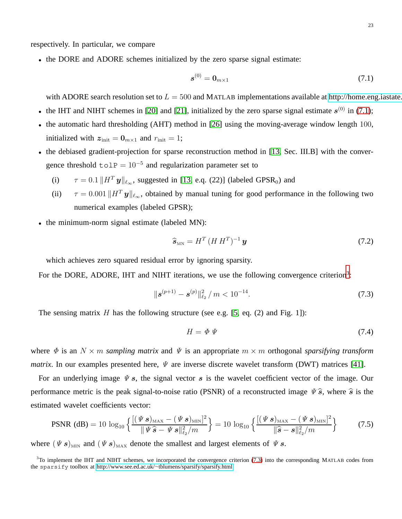respectively. In particular, we compare

• the DORE and ADORE schemes initialized by the zero sparse signal estimate:

<span id="page-22-0"></span>
$$
\boldsymbol{s}^{(0)} = \boldsymbol{0}_{m \times 1} \tag{7.1}
$$

with ADORE search resolution set to  $L = 500$  and MATLAB implementations available at http://home.eng.iastate.

- the IHT and NIHT schemes in [\[20\]](#page-38-17) and [\[21\]](#page-38-11), initialized by the zero sparse signal estimate  $s^{(0)}$  in [\(7.1\)](#page-22-0);
- the automatic hard thresholding (AHT) method in [\[26\]](#page-38-19) using the moving-average window length 100, initialized with  $z_{\text{init}} = 0_{m \times 1}$  and  $r_{\text{init}} = 1$ ;
- the debiased gradient-projection for sparse reconstruction method in [\[13,](#page-38-5) Sec. III.B] with the convergence threshold  $\text{tolP} = 10^{-5}$  and regularization parameter set to
	- (i)  $\tau = 0.1 || H^T \mathbf{y} ||_{\ell_{\infty}}$ , suggested in [\[13,](#page-38-5) e.q. (22)] (labeled GPSR<sub>0</sub>) and
	- (ii)  $\tau = 0.001 || H^T \mathbf{y} ||_{\ell_{\infty}}$ , obtained by manual tuning for good performance in the following two numerical examples (labeled GPSR);
- the minimum-norm signal estimate (labeled MN):

<span id="page-22-3"></span>
$$
\widehat{\mathbf{s}}_{\scriptscriptstyle{\mathrm{MN}}} = H^T \left( H \, H^T \right)^{-1} \mathbf{y} \tag{7.2}
$$

which achieves zero squared residual error by ignoring sparsity.

For the DORE, ADORE, IHT and NIHT iterations, we use the following convergence criterion<sup>[3](#page-22-1)</sup>:

<span id="page-22-2"></span>
$$
\|\boldsymbol{s}^{(p+1)} - \boldsymbol{s}^{(p)}\|_{\ell_2}^2 / m < 10^{-14}.\tag{7.3}
$$

The sensing matrix  $H$  has the following structure (see e.g. [\[5,](#page-37-3) eq. (2) and Fig. 1]):

$$
H = \Phi \, \Psi \tag{7.4}
$$

where  $\Phi$  is an  $N \times m$  *sampling matrix* and  $\Psi$  is an appropriate  $m \times m$  orthogonal *sparsifying transform matrix*. In our examples presented here,  $\Psi$  are inverse discrete wavelet transform (DWT) matrices [\[41\]](#page-38-30).

For an underlying image  $\psi$  s, the signal vector s is the wavelet coefficient vector of the image. Our performance metric is the peak signal-to-noise ratio (PSNR) of a reconstructed image  $\psi \hat{s}$ , where  $\hat{s}$  is the estimated wavelet coefficients vector:

$$
\text{PSNR (dB)} = 10 \log_{10} \left\{ \frac{[(\Psi s)_{\text{max}} - (\Psi s)_{\text{min}}]^2}{\|\Psi \hat{s} - \Psi s\|_{\ell_2}^2 / m} \right\} = 10 \log_{10} \left\{ \frac{[(\Psi s)_{\text{max}} - (\Psi s)_{\text{min}}]^2}{\|\hat{s} - s\|_{\ell_2}^2 / m} \right\} \tag{7.5}
$$

where  $(\Psi s)_{\text{MIN}}$  and  $(\Psi s)_{\text{MAX}}$  denote the smallest and largest elements of  $\Psi s$ .

<span id="page-22-1"></span> $3$ To implement the IHT and NIHT schemes, we incorporated the convergence criterion [\(7.3\)](#page-22-2) into the corresponding MATLAB codes from the sparsify toolbox at http://www.see.ed.ac.uk/<sup>∼</sup>[tblumens/sparsify/sparsify.html.](http://www.see.ed.ac.uk/~tblumens/sparsify/sparsify.html)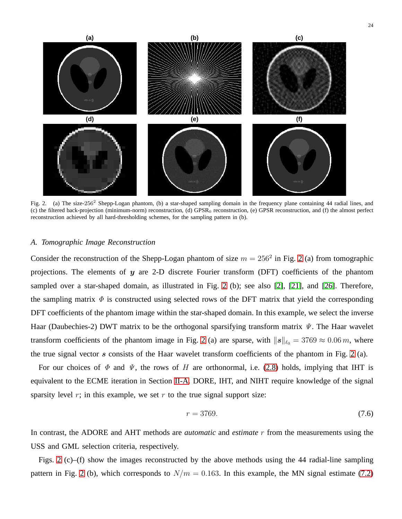

<span id="page-23-0"></span>Fig. 2. (a) The size-256<sup>2</sup> Shepp-Logan phantom, (b) a star-shaped sampling domain in the frequency plane containing 44 radial lines, and (c) the filtered back-projection (minimum-norm) reconstruction, (d) GPSR<sub>0</sub> reconstruction, (e) GPSR reconstruction, and (f) the almost perfect reconstruction achieved by all hard-thresholding schemes, for the sampling pattern in (b).

#### <span id="page-23-1"></span>*A. Tomographic Image Reconstruction*

Consider the reconstruction of the Shepp-Logan phantom of size  $m = 256^2$  $m = 256^2$  $m = 256^2$  in Fig. 2 (a) from tomographic projections. The elements of  $y$  are 2-D discrete Fourier transform (DFT) coefficients of the phantom sampled over a star-shaped domain, as illustrated in Fig. [2](#page-23-0) (b); see also [\[2\]](#page-37-4), [\[21\]](#page-38-11), and [\[26\]](#page-38-19). Therefore, the sampling matrix  $\Phi$  is constructed using selected rows of the DFT matrix that yield the corresponding DFT coefficients of the phantom image within the star-shaped domain. In this example, we select the inverse Haar (Daubechies-2) DWT matrix to be the orthogonal sparsifying transform matrix  $\Psi$ . The Haar wavelet transform coefficients of the phantom image in Fig. [2](#page-23-0) (a) are sparse, with  $||s||_{\ell_0} = 3769 \approx 0.06 \, m$ , where the true signal vector s consists of the Haar wavelet transform coefficients of the phantom in Fig. [2](#page-23-0) (a).

For our choices of  $\Phi$  and  $\Psi$ , the rows of H are orthonormal, i.e. [\(2.8\)](#page-6-2) holds, implying that IHT is equivalent to the ECME iteration in Section [II-A.](#page-5-0) DORE, IHT, and NIHT require knowledge of the signal sparsity level  $r$ ; in this example, we set  $r$  to the true signal support size:

$$
r = 3769.\t(7.6)
$$

In contrast, the ADORE and AHT methods are *automatic* and *estimate* r from the measurements using the USS and GML selection criteria, respectively.

Figs. [2](#page-23-0) (c)–(f) show the images reconstructed by the above methods using the 44 radial-line sampling pattern in Fig. [2](#page-23-0) (b), which corresponds to  $N/m = 0.163$ . In this example, the MN signal estimate [\(7.2\)](#page-22-3)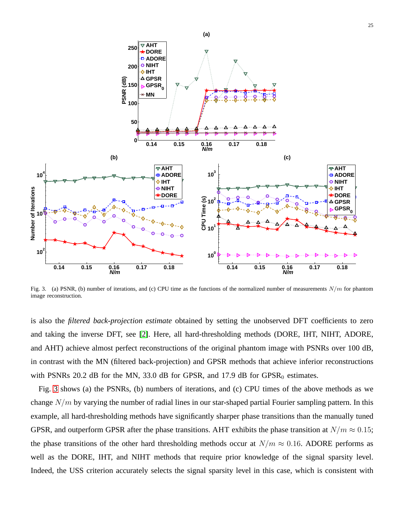

<span id="page-24-0"></span>Fig. 3. (a) PSNR, (b) number of iterations, and (c) CPU time as the functions of the normalized number of measurements  $N/m$  for phantom image reconstruction.

is also the *filtered back-projection estimate* obtained by setting the unobserved DFT coefficients to zero and taking the inverse DFT, see [\[2\]](#page-37-4). Here, all hard-thresholding methods (DORE, IHT, NIHT, ADORE, and AHT) achieve almost perfect reconstructions of the original phantom image with PSNRs over 100 dB, in contrast with the MN (filtered back-projection) and GPSR methods that achieve inferior reconstructions with PSNRs 20.2 dB for the MN, 33.0 dB for GPSR, and 17.9 dB for  $GPSR_0$  estimates.

Fig. [3](#page-24-0) shows (a) the PSNRs, (b) numbers of iterations, and (c) CPU times of the above methods as we change  $N/m$  by varying the number of radial lines in our star-shaped partial Fourier sampling pattern. In this example, all hard-thresholding methods have significantly sharper phase transitions than the manually tuned GPSR, and outperform GPSR after the phase transitions. AHT exhibits the phase transition at  $N/m \approx 0.15$ ; the phase transitions of the other hard thresholding methods occur at  $N/m \approx 0.16$ . ADORE performs as well as the DORE, IHT, and NIHT methods that require prior knowledge of the signal sparsity level. Indeed, the USS criterion accurately selects the signal sparsity level in this case, which is consistent with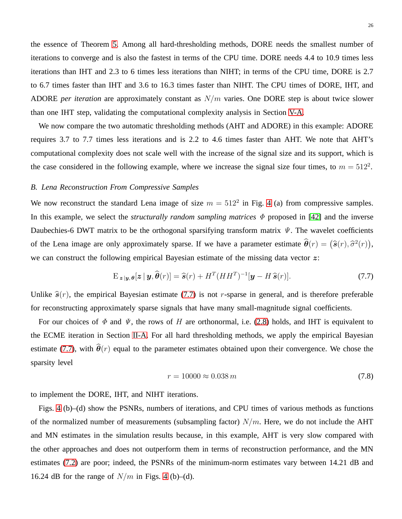the essence of Theorem [5.](#page-20-2) Among all hard-thresholding methods, DORE needs the smallest number of iterations to converge and is also the fastest in terms of the CPU time. DORE needs 4.4 to 10.9 times less iterations than IHT and 2.3 to 6 times less iterations than NIHT; in terms of the CPU time, DORE is 2.7 to 6.7 times faster than IHT and 3.6 to 16.3 times faster than NIHT. The CPU times of DORE, IHT, and ADORE *per iteration* are approximately constant as N/m varies. One DORE step is about twice slower than one IHT step, validating the computational complexity analysis in Section [V-A.](#page-19-0)

We now compare the two automatic thresholding methods (AHT and ADORE) in this example: ADORE requires 3.7 to 7.7 times less iterations and is 2.2 to 4.6 times faster than AHT. We note that AHT's computational complexity does not scale well with the increase of the signal size and its support, which is the case considered in the following example, where we increase the signal size four times, to  $m = 512^2$ .

## *B. Lena Reconstruction From Compressive Samples*

We now reconstruct the standard Lena image of size  $m = 512^2$  in Fig. [4](#page-26-0) (a) from compressive samples. In this example, we select the *structurally random sampling matrices*  $\Phi$  proposed in [\[42\]](#page-38-31) and the inverse Daubechies-6 DWT matrix to be the orthogonal sparsifying transform matrix  $\Psi$ . The wavelet coefficients of the Lena image are only approximately sparse. If we have a parameter estimate  $\hat{\theta}(r) = (\hat{s}(r), \hat{\sigma}^2(r))$ , we can construct the following empirical Bayesian estimate of the missing data vector  $z$ :

<span id="page-25-0"></span>
$$
\mathbf{E}_{\boldsymbol{z}|\boldsymbol{y},\boldsymbol{\theta}}[\boldsymbol{z}|\boldsymbol{y},\widehat{\boldsymbol{\theta}}(r)] = \widehat{\boldsymbol{s}}(r) + H^T (HH^T)^{-1}[\boldsymbol{y} - H\,\widehat{\boldsymbol{s}}(r)].\tag{7.7}
$$

Unlike  $\hat{\mathfrak{s}}(r)$ , the empirical Bayesian estimate [\(7.7\)](#page-25-0) is not r-sparse in general, and is therefore preferable for reconstructing approximately sparse signals that have many small-magnitude signal coefficients.

For our choices of  $\Phi$  and  $\Psi$ , the rows of H are orthonormal, i.e. [\(2.8\)](#page-6-2) holds, and IHT is equivalent to the ECME iteration in Section [II-A.](#page-5-0) For all hard thresholding methods, we apply the empirical Bayesian estimate [\(7.7\)](#page-25-0), with  $\hat{\theta}(r)$  equal to the parameter estimates obtained upon their convergence. We chose the sparsity level

$$
r = 10000 \approx 0.038 \, m \tag{7.8}
$$

to implement the DORE, IHT, and NIHT iterations.

Figs. [4](#page-26-0) (b)–(d) show the PSNRs, numbers of iterations, and CPU times of various methods as functions of the normalized number of measurements (subsampling factor)  $N/m$ . Here, we do not include the AHT and MN estimates in the simulation results because, in this example, AHT is very slow compared with the other approaches and does not outperform them in terms of reconstruction performance, and the MN estimates [\(7.2\)](#page-22-3) are poor; indeed, the PSNRs of the minimum-norm estimates vary between 14.21 dB and 16.24 dB for the range of  $N/m$  in Figs. [4](#page-26-0) (b)–(d).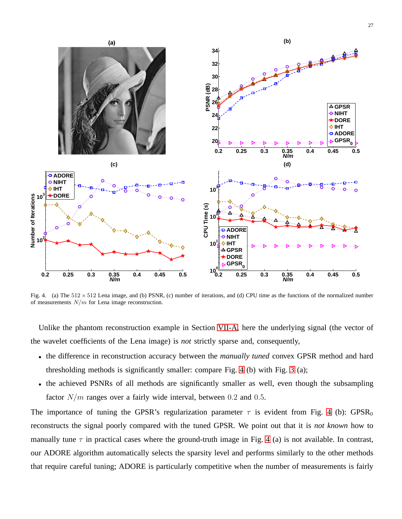

<span id="page-26-0"></span>Fig. 4. (a) The  $512 \times 512$  Lena image, and (b) PSNR, (c) number of iterations, and (d) CPU time as the functions of the normalized number of measurements  $N/m$  for Lena image reconstruction.

Unlike the phantom reconstruction example in Section [VII-A,](#page-23-1) here the underlying signal (the vector of the wavelet coefficients of the Lena image) is *not* strictly sparse and, consequently,

- the difference in reconstruction accuracy between the *manually tuned* convex GPSR method and hard thresholding methods is significantly smaller: compare Fig. [4](#page-26-0) (b) with Fig. [3](#page-24-0) (a);
- the achieved PSNRs of all methods are significantly smaller as well, even though the subsampling factor  $N/m$  ranges over a fairly wide interval, between 0.2 and 0.5.

The importance of tuning the GPSR's regularization parameter  $\tau$  is evident from Fig. [4](#page-26-0) (b): GPSR<sub>0</sub> reconstructs the signal poorly compared with the tuned GPSR. We point out that it is *not known* how to manually tune  $\tau$  in practical cases where the ground-truth image in Fig. [4](#page-26-0) (a) is not available. In contrast, our ADORE algorithm automatically selects the sparsity level and performs similarly to the other methods that require careful tuning; ADORE is particularly competitive when the number of measurements is fairly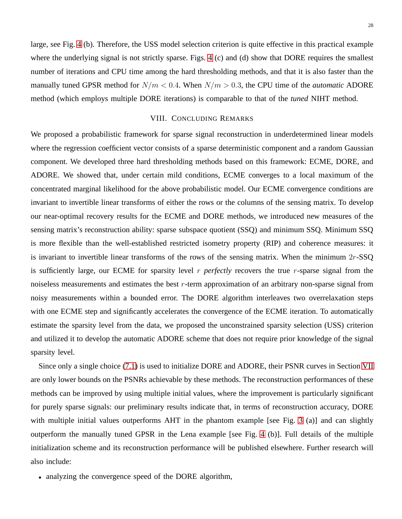large, see Fig. [4](#page-26-0) (b). Therefore, the USS model selection criterion is quite effective in this practical example where the underlying signal is not strictly sparse. Figs. [4](#page-26-0) (c) and (d) show that DORE requires the smallest number of iterations and CPU time among the hard thresholding methods, and that it is also faster than the manually tuned GPSR method for  $N/m < 0.4$ . When  $N/m > 0.3$ , the CPU time of the *automatic* ADORE method (which employs multiple DORE iterations) is comparable to that of the *tuned* NIHT method.

## VIII. CONCLUDING REMARKS

<span id="page-27-0"></span>We proposed a probabilistic framework for sparse signal reconstruction in underdetermined linear models where the regression coefficient vector consists of a sparse deterministic component and a random Gaussian component. We developed three hard thresholding methods based on this framework: ECME, DORE, and ADORE. We showed that, under certain mild conditions, ECME converges to a local maximum of the concentrated marginal likelihood for the above probabilistic model. Our ECME convergence conditions are invariant to invertible linear transforms of either the rows or the columns of the sensing matrix. To develop our near-optimal recovery results for the ECME and DORE methods, we introduced new measures of the sensing matrix's reconstruction ability: sparse subspace quotient (SSQ) and minimum SSQ. Minimum SSQ is more flexible than the well-established restricted isometry property (RIP) and coherence measures: it is invariant to invertible linear transforms of the rows of the sensing matrix. When the minimum  $2r$ -SSQ is sufficiently large, our ECME for sparsity level r *perfectly* recovers the true r-sparse signal from the noiseless measurements and estimates the best  $r$ -term approximation of an arbitrary non-sparse signal from noisy measurements within a bounded error. The DORE algorithm interleaves two overrelaxation steps with one ECME step and significantly accelerates the convergence of the ECME iteration. To automatically estimate the sparsity level from the data, we proposed the unconstrained sparsity selection (USS) criterion and utilized it to develop the automatic ADORE scheme that does not require prior knowledge of the signal sparsity level.

Since only a single choice [\(7.1\)](#page-22-0) is used to initialize DORE and ADORE, their PSNR curves in Section [VII](#page-21-1) are only lower bounds on the PSNRs achievable by these methods. The reconstruction performances of these methods can be improved by using multiple initial values, where the improvement is particularly significant for purely sparse signals: our preliminary results indicate that, in terms of reconstruction accuracy, DORE with multiple initial values outperforms AHT in the phantom example [see Fig. [3](#page-24-0) (a)] and can slightly outperform the manually tuned GPSR in the Lena example [see Fig. [4](#page-26-0) (b)]. Full details of the multiple initialization scheme and its reconstruction performance will be published elsewhere. Further research will also include:

• analyzing the convergence speed of the DORE algorithm,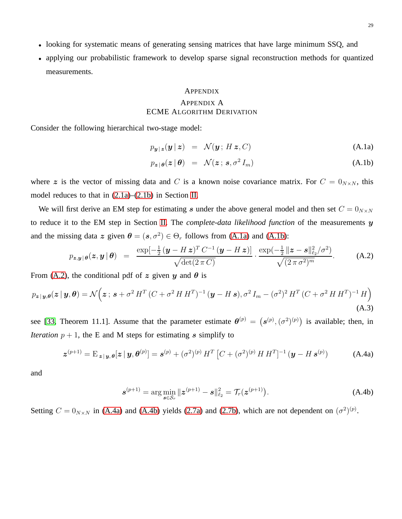- looking for systematic means of generating sensing matrices that have large minimum SSQ, and
- applying our probabilistic framework to develop sparse signal reconstruction methods for quantized measurements.

#### APPENDIX

## APPENDIX A ECME ALGORITHM DERIVATION

<span id="page-28-0"></span>Consider the following hierarchical two-stage model:

<span id="page-28-1"></span>
$$
p_{\mathbf{y}|\mathbf{z}}(\mathbf{y}|\mathbf{z}) = \mathcal{N}(\mathbf{y}; H\mathbf{z}, C) \tag{A.1a}
$$

$$
p_{\boldsymbol{z}|\boldsymbol{\theta}}(\boldsymbol{z}|\boldsymbol{\theta}) = \mathcal{N}(\boldsymbol{z};\,\boldsymbol{s},\sigma^2\,I_m) \tag{A.1b}
$$

where z is the vector of missing data and C is a known noise covariance matrix. For  $C = 0_{N \times N}$ , this model reduces to that in [\(2.1a\)](#page-4-1)–[\(2.1b\)](#page-4-1) in Section [II.](#page-4-0)

We will first derive an EM step for estimating s under the above general model and then set  $C = 0_{N \times N}$ to reduce it to the EM step in Section [II.](#page-4-0) The *complete-data likelihood function* of the measurements y and the missing data z given  $\theta = (s, \sigma^2) \in \Theta_r$  follows from [\(A.1a\)](#page-28-1) and [\(A.1b\)](#page-28-1):

<span id="page-28-2"></span>
$$
p_{\boldsymbol{z},\boldsymbol{y}|\boldsymbol{\theta}}(\boldsymbol{z},\boldsymbol{y}|\boldsymbol{\theta}) = \frac{\exp[-\frac{1}{2}(\boldsymbol{y}-H\boldsymbol{z})^T C^{-1}(\boldsymbol{y}-H\boldsymbol{z})]}{\sqrt{\det(2\pi C)}} \cdot \frac{\exp(-\frac{1}{2}\|\boldsymbol{z}-\boldsymbol{s}\|_{\ell_2}^2/\sigma^2)}{\sqrt{(2\pi\sigma^2)^m}}.
$$
 (A.2)

From [\(A.2\)](#page-28-2), the conditional pdf of z given y and  $\theta$  is

$$
p_{\boldsymbol{z}|\boldsymbol{y},\boldsymbol{\theta}}(\boldsymbol{z}|\boldsymbol{y},\boldsymbol{\theta}) = \mathcal{N}\Big(\boldsymbol{z};\,\boldsymbol{s}+\sigma^2\,H^T\,(C+\sigma^2\,H\,H^T)^{-1}\,(\boldsymbol{y}-H\,\boldsymbol{s}),\sigma^2\,I_m-(\sigma^2)^2\,H^T\,(C+\sigma^2\,H\,H^T)^{-1}\,H\Big) \tag{A.3}
$$

see [\[33,](#page-38-22) Theorem 11.1]. Assume that the parameter estimate  $\theta^{(p)} = (s^{(p)}, (\sigma^2)^{(p)})$  is available; then, in *Iteration*  $p + 1$ , the E and M steps for estimating s simplify to

$$
\boldsymbol{z}^{(p+1)} = \mathbf{E}_{\boldsymbol{z} \mid \boldsymbol{y}, \boldsymbol{\theta}}[\boldsymbol{z} \mid \boldsymbol{y}, \boldsymbol{\theta}^{(p)}] = \boldsymbol{s}^{(p)} + (\sigma^2)^{(p)} H^T \left[ C + (\sigma^2)^{(p)} H H^T \right]^{-1} (\boldsymbol{y} - H \, \boldsymbol{s}^{(p)}) \tag{A.4a}
$$

and

<span id="page-28-3"></span>
$$
\mathbf{s}^{(p+1)} = \arg\min_{\mathbf{s}\in\mathcal{S}_r} \|\mathbf{z}^{(p+1)} - \mathbf{s}\|_{\ell_2}^2 = \mathcal{T}_r(\mathbf{z}^{(p+1)}).
$$
 (A.4b)

Setting  $C = 0_{N \times N}$  in [\(A.4a\)](#page-28-3) and [\(A.4b\)](#page-28-3) yields [\(2.7a\)](#page-6-1) and [\(2.7b\)](#page-6-1), which are not dependent on  $(\sigma^2)^{(p)}$ .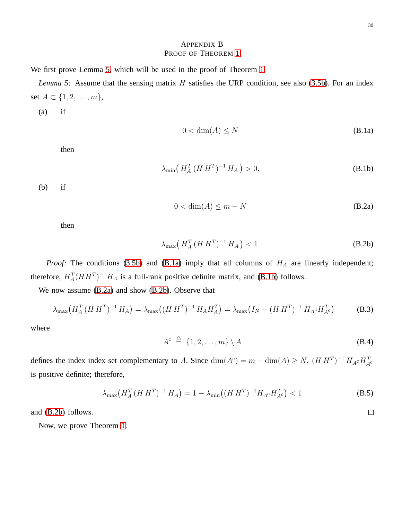# <span id="page-29-1"></span>APPENDIX B PROOF OF THEOREM [1](#page-8-0)

<span id="page-29-0"></span>We first prove Lemma [5,](#page-29-1) which will be used in the proof of Theorem [1.](#page-8-0)

*Lemma 5:* Assume that the sensing matrix H satisfies the URP condition, see also [\(3.5b\)](#page-8-0). For an index set *A* ⊂ {1, 2, . . . , *m*},

(a) if

$$
0 < \dim(A) \le N \tag{B.1a}
$$

then

<span id="page-29-2"></span>
$$
\lambda_{\min}\left(H_A^T (H H^T)^{-1} H_A\right) > 0,\tag{B.1b}
$$

(b) if

$$
0 < \dim(A) \le m - N \tag{B.2a}
$$

then

<span id="page-29-3"></span>
$$
\lambda_{\max}\left(H_A^T (H H^T)^{-1} H_A\right) < 1. \tag{B.2b}
$$

*Proof:* The conditions [\(3.5b\)](#page-8-0) and [\(B.1a\)](#page-29-2) imply that all columns of  $H_A$  are linearly independent; therefore,  $H_A^T(HH^T)^{-1}H_A$  is a full-rank positive definite matrix, and [\(B.1b\)](#page-29-2) follows.

We now assume [\(B.2a\)](#page-29-3) and show [\(B.2b\)](#page-29-3). Observe that

$$
\lambda_{\max}\left(H_A^T (H H^T)^{-1} H_A\right) = \lambda_{\max}\left((H H^T)^{-1} H_A H_A^T\right) = \lambda_{\max}\left(I_N - (H H^T)^{-1} H_A \circ H_{A^c}^T\right) \tag{B.3}
$$

where

<span id="page-29-4"></span>
$$
A^c \triangleq \{1, 2, \dots, m\} \setminus A \tag{B.4}
$$

defines the index index set complementary to A. Since  $\dim(A^c) = m - \dim(A) \ge N$ ,  $(H H^T)^{-1} H_{A^c} H_{A^c}^T$ is positive definite; therefore,

$$
\lambda_{\max}\left(H_A^T (H H^T)^{-1} H_A\right) = 1 - \lambda_{\min}\left((H H^T)^{-1} H_{A^c} H_{A^c}^T\right) < 1\tag{B.5}
$$

and [\(B.2b\)](#page-29-3) follows.

Now, we prove Theorem [1.](#page-8-0)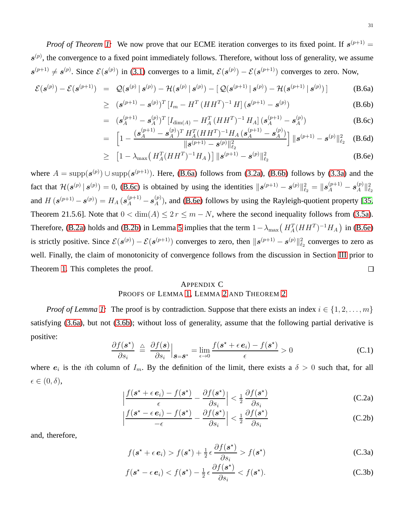*Proof of Theorem [1:](#page-8-0)* We now prove that our ECME iteration converges to its fixed point. If  $s^{(p+1)}$  =  $s^{(p)}$ , the convergence to a fixed point immediately follows. Therefore, without loss of generality, we assume  $s^{(p+1)} \neq s^{(p)}$ . Since  $\mathcal{E}(s^{(p)})$  in [\(3.1\)](#page-7-2) converges to a limit,  $\mathcal{E}(s^{(p)}) - \mathcal{E}(s^{(p+1)})$  converges to zero. Now,

<span id="page-30-1"></span>
$$
\mathcal{E}(\mathbf{s}^{(p)}) - \mathcal{E}(\mathbf{s}^{(p+1)}) = \mathcal{Q}(\mathbf{s}^{(p)} | \mathbf{s}^{(p)}) - \mathcal{H}(\mathbf{s}^{(p)} | \mathbf{s}^{(p)}) - [\mathcal{Q}(\mathbf{s}^{(p+1)} | \mathbf{s}^{(p)}) - \mathcal{H}(\mathbf{s}^{(p+1)} | \mathbf{s}^{(p)})]
$$
(B.6a)

$$
\geq (s^{(p+1)} - s^{(p)})^T [I_m - H^T (HH^T)^{-1} H] (s^{(p+1)} - s^{(p)}) \tag{B.6b}
$$

$$
= (s_A^{(p+1)} - s_A^{(p)})^T \left[ I_{\dim(A)} - H_A^T (HH^T)^{-1} H_A \right] (s_A^{(p+1)} - s_A^{(p)})
$$
(B.6c)

$$
= \left[1 - \frac{(\boldsymbol{s}_A^{(p+1)} - \boldsymbol{s}_A^{(p)})^T H_A^T (H H^T)^{-1} H_A (\boldsymbol{s}_A^{(p+1)} - \boldsymbol{s}_A^{(p)})}{\|\boldsymbol{s}^{(p+1)} - \boldsymbol{s}^{(p)}\|_{\ell_2}^2}\right] \|\boldsymbol{s}^{(p+1)} - \boldsymbol{s}^{(p)}\|_{\ell_2}^2 \quad \text{(B.6d)}
$$

$$
\geq \left[1 - \lambda_{\max}\left(H_A^T(HH^T)^{-1}H_A\right)\right] \|s^{(p+1)} - s^{(p)}\|_{\ell_2}^2 \tag{B.6e}
$$

where  $A = \text{supp}(s^{(p)}) \cup \text{supp}(s^{(p+1)})$ . Here, [\(B.6a\)](#page-30-1) follows from [\(3.2a\)](#page-7-0), [\(B.6b\)](#page-30-1) follows by [\(3.3a\)](#page-7-1) and the fact that  $\mathcal{H}(\mathbf{s}^{(p)} | \mathbf{s}^{(p)}) = 0$ , [\(B.6c\)](#page-30-1) is obtained by using the identities  $\|\mathbf{s}^{(p+1)} - \mathbf{s}^{(p)}\|_{\ell_2}^2 = \|\mathbf{s}^{(p+1)}_A - \mathbf{s}^{(p)}_A\|$  $\mathbb{Z}_A^{(p)} \|_{\ell_2}^2$ and  $H\left(\mathbf{s}^{(p+1)}-\mathbf{s}^{(p)}\right)=H_A\left(\mathbf{s}_A^{(p+1)}-\mathbf{s}_A^{(p)}\right)$  $A^{(p)}$ ), and [\(B.6e\)](#page-30-1) follows by using the Rayleigh-quotient property [\[35,](#page-38-32) Theorem 21.5.6]. Note that  $0 < \dim(A) \le 2r \le m - N$ , where the second inequality follows from [\(3.5a\)](#page-8-0). Therefore, [\(B.2a\)](#page-29-3) holds and [\(B.2b\)](#page-29-3) in Lemma [5](#page-29-1) implies that the term  $1 - \lambda_{\text{max}} (H_A^T (HH^T)^{-1} H_A)$  in [\(B.6e\)](#page-30-1) is strictly positive. Since  $\mathcal{E}(\mathbf{s}^{(p)}) - \mathcal{E}(\mathbf{s}^{(p+1)})$  converges to zero, then  $\|\mathbf{s}^{(p+1)} - \mathbf{s}^{(p)}\|_{\ell_2}^2$  converges to zero as well. Finally, the claim of monotonicity of convergence follows from the discussion in Section [III](#page-6-0) prior to Theorem [1.](#page-8-0) This completes the proof.  $\Box$ 

## APPENDIX C PROOFS OF LEMMA [1,](#page-8-3) LEMMA [2](#page-9-1) AND THEOREM [2](#page-10-0)

<span id="page-30-0"></span>*Proof of Lemma [1:](#page-8-3)* The proof is by contradiction. Suppose that there exists an index  $i \in \{1, 2, ..., m\}$ satisfying [\(3.6a\)](#page-8-2), but not [\(3.6b\)](#page-8-2); without loss of generality, assume that the following partial derivative is positive:

$$
\frac{\partial f(\mathbf{s}^{\star})}{\partial s_i} \stackrel{\triangle}{=} \frac{\partial f(\mathbf{s})}{\partial s_i}\Big|_{\mathbf{s}=\mathbf{s}^{\star}} = \lim_{\epsilon \to 0} \frac{f(\mathbf{s}^{\star} + \epsilon \,\mathbf{e}_i) - f(\mathbf{s}^{\star})}{\epsilon} > 0 \tag{C.1}
$$

where  $e_i$  is the *i*th column of  $I_m$ . By the definition of the limit, there exists a  $\delta > 0$  such that, for all  $\epsilon \in (0, \delta),$ 

$$
\left|\frac{f(\mathbf{s}^{\star}+\epsilon\,\mathbf{e}_i)-f(\mathbf{s}^{\star})}{\epsilon}-\frac{\partial f(\mathbf{s}^{\star})}{\partial s_i}\right|<\frac{1}{2}\frac{\partial f(\mathbf{s}^{\star})}{\partial s_i}\tag{C.2a}
$$

$$
\left|\frac{f(\mathbf{s}^* - \epsilon \,\mathbf{e}_i) - f(\mathbf{s}^*)}{-\epsilon} - \frac{\partial f(\mathbf{s}^*)}{\partial s_i}\right| < \frac{1}{2} \frac{\partial f(\mathbf{s}^*)}{\partial s_i} \tag{C.2b}
$$

and, therefore,

$$
f(\mathbf{s}^* + \epsilon \mathbf{e}_i) > f(\mathbf{s}^*) + \frac{1}{2} \epsilon \frac{\partial f(\mathbf{s}^*)}{\partial s_i} > f(\mathbf{s}^*)
$$
 (C.3a)

$$
f(\mathbf{s}^* - \epsilon \mathbf{e}_i) < f(\mathbf{s}^*) - \frac{1}{2} \epsilon \frac{\partial f(\mathbf{s}^*)}{\partial s_i} < f(\mathbf{s}^*). \tag{C.3b}
$$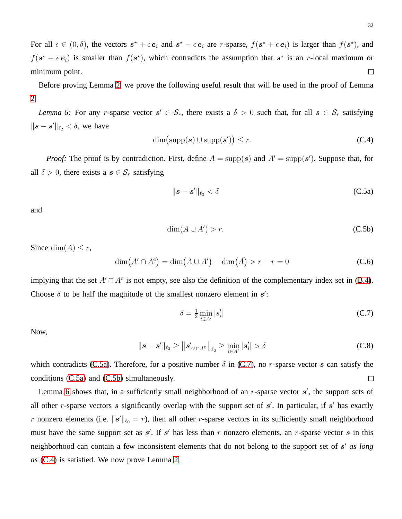For all  $\epsilon \in (0, \delta)$ , the vectors  $s^* + \epsilon e_i$  and  $s^* - \epsilon e_i$  are r-sparse,  $f(s^* + \epsilon e_i)$  is larger than  $f(s^*)$ , and  $f(\mathbf{s}^* - \epsilon \mathbf{e}_i)$  is smaller than  $f(\mathbf{s}^*)$ , which contradicts the assumption that  $\mathbf{s}^*$  is an r-local maximum or minimum point.  $\Box$ 

<span id="page-31-2"></span>Before proving Lemma [2,](#page-9-1) we prove the following useful result that will be used in the proof of Lemma [2.](#page-9-1)

*Lemma 6:* For any *r*-sparse vector  $s' \in S_r$ , there exists a  $\delta > 0$  such that, for all  $s \in S_r$  satisfying  $\|\boldsymbol{s} - \boldsymbol{s}'\|_{\ell_2} < \delta$ , we have

<span id="page-31-3"></span>
$$
\dim\bigl(\operatorname{supp}(\boldsymbol{s})\cup\operatorname{supp}(\boldsymbol{s}')\bigr)\leq r.\tag{C.4}
$$

*Proof:* The proof is by contradiction. First, define  $A = \text{supp}(s)$  and  $A' = \text{supp}(s')$ . Suppose that, for all  $\delta > 0$ , there exists a  $s \in S_r$  satisfying

$$
\|\boldsymbol{s} - \boldsymbol{s}'\|_{\ell_2} < \delta \tag{C.5a}
$$

and

<span id="page-31-0"></span>
$$
\dim(A \cup A') > r. \tag{C.5b}
$$

Since dim(A)  $\leq r$ ,

$$
\dim(A' \cap A^c) = \dim(A \cup A') - \dim(A) > r - r = 0
$$
\n(C.6)

implying that the set  $A' \cap A^c$  is not empty, see also the definition of the complementary index set in [\(B.4\)](#page-29-4). Choose  $\delta$  to be half the magnitude of the smallest nonzero element in  $s'$ :

<span id="page-31-1"></span>
$$
\delta = \frac{1}{2} \min_{i \in A'} |s'_i| \tag{C.7}
$$

Now,

$$
\|\boldsymbol{s} - \boldsymbol{s}'\|_{\ell_2} \ge \left\| \boldsymbol{s}'_{A' \cap A^c} \right\|_{\ell_2} \ge \min_{i \in A'} |\boldsymbol{s}'_i| > \delta
$$
 (C.8)

which contradicts [\(C.5a\)](#page-31-0). Therefore, for a positive number  $\delta$  in [\(C.7\)](#page-31-1), no r-sparse vector s can satisfy the conditions [\(C.5a\)](#page-31-0) and [\(C.5b\)](#page-31-0) simultaneously.  $\Box$ 

Lemma [6](#page-31-2) shows that, in a sufficiently small neighborhood of an  $r$ -sparse vector  $s'$ , the support sets of all other r-sparse vectors  $s$  significantly overlap with the support set of  $s'$ . In particular, if  $s'$  has exactly r nonzero elements (i.e.  $||s'||_{\ell_0} = r$ ), then all other r-sparse vectors in its sufficiently small neighborhood must have the same support set as  $s'$ . If s' has less than r nonzero elements, an r-sparse vector s in this neighborhood can contain a few inconsistent elements that do not belong to the support set of s ′ *as long as* [\(C.4\)](#page-31-3) is satisfied. We now prove Lemma [2.](#page-9-1)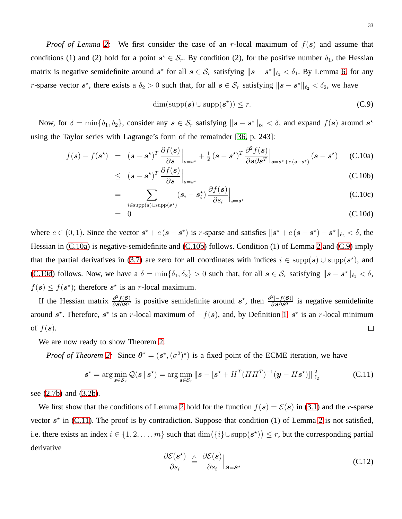*Proof of Lemma* [2:](#page-9-1) We first consider the case of an r-local maximum of  $f(s)$  and assume that conditions (1) and (2) hold for a point  $s^* \in S_r$ . By condition (2), for the positive number  $\delta_1$ , the Hessian matrix is negative semidefinite around  $s^*$  for all  $s \in S_r$  satisfying  $\|s - s^*\|_{\ell_2} < \delta_1$ . By Lemma [6,](#page-31-2) for any r-sparse vector  $s^*$ , there exists a  $\delta_2 > 0$  such that, for all  $s \in S_r$  satisfying  $||s - s^*||_{\ell_2} < \delta_2$ , we have

<span id="page-32-1"></span>
$$
\dim(\mathrm{supp}(\boldsymbol{s}) \cup \mathrm{supp}(\boldsymbol{s}^*) ) \leq r. \tag{C.9}
$$

Now, for  $\delta = \min\{\delta_1, \delta_2\}$ , consider any  $s \in S_r$  satisfying  $\|s - s^*\|_{\ell_2} < \delta$ , and expand  $f(s)$  around  $s^*$ using the Taylor series with Lagrange's form of the remainder [\[36,](#page-38-33) p. 243]:

<span id="page-32-0"></span>
$$
f(\mathbf{s}) - f(\mathbf{s}^*) = (\mathbf{s} - \mathbf{s}^*)^T \frac{\partial f(\mathbf{s})}{\partial \mathbf{s}}\Big|_{\mathbf{s} = \mathbf{s}^*} + \frac{1}{2} (\mathbf{s} - \mathbf{s}^*)^T \frac{\partial^2 f(\mathbf{s})}{\partial \mathbf{s} \partial \mathbf{s}^T}\Big|_{\mathbf{s} = \mathbf{s}^* + c(\mathbf{s} - \mathbf{s}^*)} (\mathbf{s} - \mathbf{s}^*)
$$
 (C.10a)

$$
\leq (s - s^{\star})^T \frac{\partial f(s)}{\partial s} \Big|_{s = s^{\star}} \tag{C.10b}
$$

$$
= \sum_{i \in \text{supp}(\mathbf{s}) \cup \text{supp}(\mathbf{s}^*)} (\mathbf{s}_i - \mathbf{s}_i^*) \left. \frac{\partial f(\mathbf{s})}{\partial s_i} \right|_{\mathbf{s} = \mathbf{s}^*}
$$
(C.10c)

$$
= 0 \tag{C.10d}
$$

where  $c \in (0, 1)$ . Since the vector  $s^* + c(s - s^*)$  is r-sparse and satisfies  $||s^* + c(s - s^*) - s^*||_{\ell_2} < \delta$ , the Hessian in [\(C.10a\)](#page-32-0) is negative-semidefinite and [\(C.10b\)](#page-32-0) follows. Condition (1) of Lemma [2](#page-9-1) and [\(C.9\)](#page-32-1) imply that the partial derivatives in [\(3.7\)](#page-10-1) are zero for all coordinates with indices  $i \in \text{supp}(s) \cup \text{supp}(s^*)$ , and [\(C.10d\)](#page-32-0) follows. Now, we have a  $\delta = \min\{\delta_1, \delta_2\} > 0$  such that, for all  $s \in S_r$  satisfying  $\|s - s^* \|_{\ell_2} < \delta$ ,  $f(\mathbf{s}) \leq f(\mathbf{s}^*)$ ; therefore  $\mathbf{s}^*$  is an *r*-local maximum.

If the Hessian matrix  $\frac{\partial^2 f(S)}{\partial S \partial S^T}$  is positive semidefinite around  $s^*$ , then  $\frac{\partial^2 [-f(S)]}{\partial S \partial S^T}$  is negative semidefinite around  $s^*$ . Therefore,  $s^*$  is an r-local maximum of  $-f(s)$ , and, by Definition [1,](#page-8-1)  $s^*$  is an r-local minimum of  $f(\mathbf{s})$ .  $\Box$ 

We are now ready to show Theorem [2.](#page-10-0)

*Proof of Theorem [2:](#page-10-0)* Since  $\theta^* = (s^*, (\sigma^2)^*)$  is a fixed point of the ECME iteration, we have

<span id="page-32-2"></span>
$$
\boldsymbol{s}^{\star} = \arg\min_{\boldsymbol{s}\in\mathcal{S}_r} \mathcal{Q}(\boldsymbol{s} \,|\, \boldsymbol{s}^{\star}) = \arg\min_{\boldsymbol{s}\in\mathcal{S}_r} \|\boldsymbol{s} - [\boldsymbol{s}^{\star} + H^T (HH^T)^{-1} (\boldsymbol{y} - H\boldsymbol{s}^{\star})]\|_{\ell_2}^2 \tag{C.11}
$$

see [\(2.7b\)](#page-6-1) and [\(3.2b\)](#page-7-0).

We first show that the conditions of Lemma [2](#page-9-1) hold for the function  $f(s) = \mathcal{E}(s)$  in [\(3.1\)](#page-7-2) and the *r*-sparse vector  $s^*$  in [\(C.11\)](#page-32-2). The proof is by contradiction. Suppose that condition (1) of Lemma [2](#page-9-1) is not satisfied, i.e. there exists an index  $i \in \{1, 2, ..., m\}$  such that  $\dim(\{i\} \cup \text{supp}(\mathbf{s}^*) ) \leq r$ , but the corresponding partial derivative

$$
\frac{\partial \mathcal{E}(\mathbf{s}^{\star})}{\partial s_i} \triangleq \left. \frac{\partial \mathcal{E}(\mathbf{s})}{\partial s_i} \right|_{\mathbf{s} = \mathbf{s}^{\star}} \tag{C.12}
$$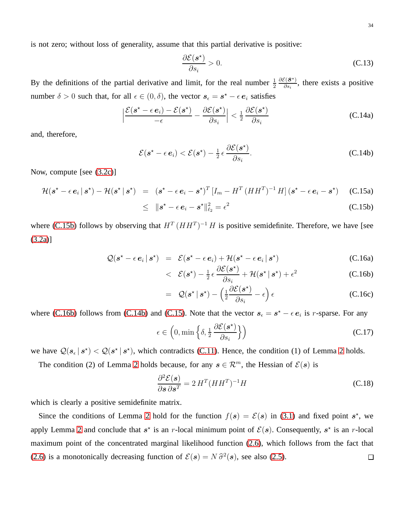is not zero; without loss of generality, assume that this partial derivative is positive:

$$
\frac{\partial \mathcal{E}(s^*)}{\partial s_i} > 0. \tag{C.13}
$$

By the definitions of the partial derivative and limit, for the real number  $\frac{1}{2}$  $\partial \mathcal{E}(\boldsymbol{S}^{\star})$  $\frac{\partial \mathcal{S}(\mathbf{S}^n)}{\partial s_i}$ , there exists a positive number  $\delta > 0$  such that, for all  $\epsilon \in (0, \delta)$ , the vector  $s_{\epsilon} = s^* - \epsilon e_i$  satisfies

$$
\left|\frac{\mathcal{E}(s^* - \epsilon e_i) - \mathcal{E}(s^*)}{-\epsilon} - \frac{\partial \mathcal{E}(s^*)}{\partial s_i}\right| < \frac{1}{2} \frac{\partial \mathcal{E}(s^*)}{\partial s_i} \tag{C.14a}
$$

and, therefore,

<span id="page-33-2"></span>
$$
\mathcal{E}(\mathbf{s}^* - \epsilon \,\mathbf{e}_i) < \mathcal{E}(\mathbf{s}^*) - \frac{1}{2} \,\epsilon \, \frac{\partial \mathcal{E}(\mathbf{s}^*)}{\partial s_i}.\tag{C.14b}
$$

Now, compute [see [\(3.2c\)](#page-7-0)]

<span id="page-33-0"></span>
$$
\mathcal{H}(\mathbf{s}^{\star}-\epsilon\,\mathbf{e}_i\,|\,\mathbf{s}^{\star})-\mathcal{H}(\mathbf{s}^{\star}\,|\,\mathbf{s}^{\star})\ =\ (\mathbf{s}^{\star}-\epsilon\,\mathbf{e}_i-\mathbf{s}^{\star})^T\left[I_m-H^T\left(HH^T\right)^{-1}H\right](\mathbf{s}^{\star}-\epsilon\,\mathbf{e}_i-\mathbf{s}^{\star})\tag{C.15a}
$$

$$
\leq \|\mathbf{s}^* - \epsilon \,\mathbf{e}_i - \mathbf{s}^* \|^2_{\ell_2} = \epsilon^2 \tag{C.15b}
$$

where [\(C.15b\)](#page-33-0) follows by observing that  $H^T (HH^T)^{-1} H$  is positive semidefinite. Therefore, we have [see [\(3.2a\)](#page-7-0)]

<span id="page-33-1"></span>
$$
Q(\mathbf{s}^* - \epsilon \, \mathbf{e}_i \, | \, \mathbf{s}^*) = \mathcal{E}(\mathbf{s}^* - \epsilon \, \mathbf{e}_i) + \mathcal{H}(\mathbf{s}^* - \epsilon \, \mathbf{e}_i \, | \, \mathbf{s}^*)
$$
\n(C.16a)

$$
\langle \mathcal{E}(\mathbf{s}^{\star}) - \frac{1}{2} \epsilon \frac{\partial \mathcal{E}(\mathbf{s}^{\star})}{\partial s_i} + \mathcal{H}(\mathbf{s}^{\star} \,|\, \mathbf{s}^{\star}) + \epsilon^2 \tag{C.16b}
$$

$$
= Q(\mathbf{s}^{\star} | \mathbf{s}^{\star}) - \left(\frac{1}{2} \frac{\partial \mathcal{E}(\mathbf{s}^{\star})}{\partial s_i} - \epsilon\right) \epsilon
$$
 (C.16c)

where [\(C.16b\)](#page-33-1) follows from [\(C.14b\)](#page-33-2) and [\(C.15\)](#page-33-0). Note that the vector  $s_{\epsilon} = s^* - \epsilon e_i$  is r-sparse. For any

$$
\epsilon \in \left(0, \min\left\{\delta, \frac{1}{2} \frac{\partial \mathcal{E}(\mathbf{s}^{\star})}{\partial s_i}\right\}\right) \tag{C.17}
$$

we have  $Q(s_{\epsilon} | s^*) < Q(s^* | s^*)$ , which contradicts [\(C.11\)](#page-32-2). Hence, the condition (1) of Lemma [2](#page-9-1) holds.

The condition (2) of Lemma [2](#page-9-1) holds because, for any  $s \in \mathbb{R}^m$ , the Hessian of  $\mathcal{E}(s)$  is

$$
\frac{\partial^2 \mathcal{E}(s)}{\partial s \, \partial s^T} = 2 \, H^T (HH^T)^{-1} H \tag{C.18}
$$

which is clearly a positive semidefinite matrix.

Since the conditions of Lemma [2](#page-9-1) hold for the function  $f(s) = \mathcal{E}(s)$  in [\(3.1\)](#page-7-2) and fixed point  $s^*$ , we apply Lemma [2](#page-9-1) and conclude that  $s^*$  is an r-local minimum point of  $\mathcal{E}(s)$ . Consequently,  $s^*$  is an r-local maximum point of the concentrated marginal likelihood function [\(2.6\)](#page-5-3), which follows from the fact that [\(2.6\)](#page-5-3) is a monotonically decreasing function of  $\mathcal{E}(s) = N \hat{\sigma}^2(s)$ , see also [\(2.5\)](#page-5-2).  $\Box$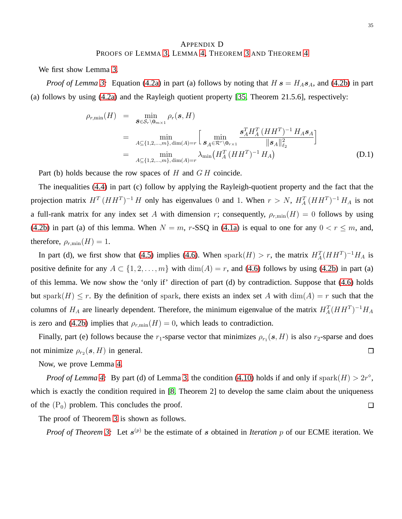## APPENDIX D PROOFS OF LEMMA [3,](#page-11-2) LEMMA [4,](#page-13-2) THEOREM [3](#page-14-1) AND THEOREM [4](#page-15-0)

<span id="page-34-0"></span>We first show Lemma [3.](#page-11-2)

*Proof of Lemma* [3:](#page-11-2) Equation [\(4.2a\)](#page-12-3) in part (a) follows by noting that  $H s = H_A s_A$ , and [\(4.2b\)](#page-12-3) in part (a) follows by using [\(4.2a\)](#page-12-3) and the Rayleigh quotient property [\[35,](#page-38-32) Theorem 21.5.6], respectively:

$$
\rho_{r,\min}(H) = \min_{\mathbf{S} \in \mathcal{S}_r \setminus \mathbf{0}_{m \times 1}} \rho_r(\mathbf{s}, H)
$$
  
\n
$$
= \min_{A \subseteq \{1, 2, \dots, m\}, \dim(A) = r} \left[ \min_{\mathbf{S}_A \in \mathcal{R}^r \setminus \mathbf{0}_{r \times 1}} \frac{\mathbf{s}_A^T H_A^T (H H^T)^{-1} H_A \mathbf{s}_A}{\|\mathbf{s}_A\|_{\ell_2}^2} \right]
$$
  
\n
$$
= \min_{A \subseteq \{1, 2, \dots, m\}, \dim(A) = r} \lambda_{\min} (H_A^T (H H^T)^{-1} H_A)
$$
 (D.1)

Part (b) holds because the row spaces of  $H$  and  $GH$  coincide.

The inequalities [\(4.4\)](#page-12-2) in part (c) follow by applying the Rayleigh-quotient property and the fact that the projection matrix  $H^T (HH^T)^{-1} H$  only has eigenvalues 0 and 1. When  $r > N$ ,  $H_A^T (HH^T)^{-1} H_A$  is not a full-rank matrix for any index set A with dimension r; consequently,  $\rho_{r,\min}(H) = 0$  follows by using [\(4.2b\)](#page-12-3) in part (a) of this lemma. When  $N = m$ , r-SSQ in [\(4.1a\)](#page-11-1) is equal to one for any  $0 < r \le m$ , and, therefore,  $\rho_{r,\min}(H) = 1$ .

In part (d), we first show that [\(4.5\)](#page-12-4) implies [\(4.6\)](#page-12-5). When  $\text{spark}(H) > r$ , the matrix  $H_A^T(HH^T)^{-1}H_A$  is positive definite for any  $A \subset \{1, 2, ..., m\}$  with  $\dim(A) = r$ , and [\(4.6\)](#page-12-5) follows by using [\(4.2b\)](#page-12-3) in part (a) of this lemma. We now show the 'only if' direction of part (d) by contradiction. Suppose that [\(4.6\)](#page-12-5) holds but spark $(H) \leq r$ . By the definition of spark, there exists an index set A with  $\dim(A) = r$  such that the columns of  $H_A$  are linearly dependent. Therefore, the minimum eigenvalue of the matrix  $H_A^T(HH^T)^{-1}H_A$ is zero and [\(4.2b\)](#page-12-3) implies that  $\rho_{r,\min}(H) = 0$ , which leads to contradiction.

Finally, part (e) follows because the  $r_1$ -sparse vector that minimizes  $\rho_{r_1}(s, H)$  is also  $r_2$ -sparse and does not minimize  $\rho_{r_2}(s, H)$  in general.  $\Box$ 

Now, we prove Lemma [4.](#page-13-2)

*Proof of Lemma [4:](#page-13-2)* By part (d) of Lemma [3,](#page-11-2) the condition [\(4.10\)](#page-13-1) holds if and only if spark $(H) > 2r^{\circ}$ , which is exactly the condition required in [\[8,](#page-38-0) Theorem 2] to develop the same claim about the uniqueness of the  $(P_0)$  problem. This concludes the proof.  $\Box$ 

The proof of Theorem [3](#page-14-1) is shown as follows.

*Proof of Theorem [3:](#page-14-1)* Let  $s^{(p)}$  be the estimate of s obtained in *Iteration* p of our ECME iteration. We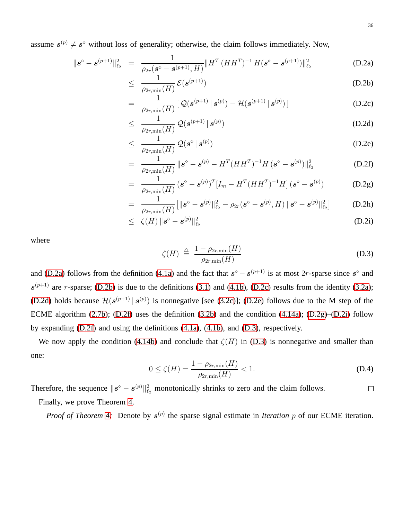assume  $s^{(p)} \neq s^{\circ}$  without loss of generality; otherwise, the claim follows immediately. Now,

<span id="page-35-0"></span>
$$
\|\boldsymbol{s}^{\diamond} - \boldsymbol{s}^{(p+1)}\|_{\ell_2}^2 = \frac{1}{\rho_{2r}(\boldsymbol{s}^{\diamond} - \boldsymbol{s}^{(p+1)}, H)} \|H^T (HH^T)^{-1} H (\boldsymbol{s}^{\diamond} - \boldsymbol{s}^{(p+1)})\|_{\ell_2}^2
$$
(D.2a)

$$
\leq \frac{1}{\rho_{2r,\min}(H)} \mathcal{E}(\boldsymbol{s}^{(p+1)})
$$
 (D.2b)

$$
= \frac{1}{\rho_{2r,\min}(H)} \left[ \mathcal{Q}(\boldsymbol{s}^{(p+1)} \,|\, \boldsymbol{s}^{(p)}) - \mathcal{H}(\boldsymbol{s}^{(p+1)} \,|\, \boldsymbol{s}^{(p)}) \right] \tag{D.2c}
$$

$$
\leq \frac{1}{\rho_{2r,\min}(H)} \mathcal{Q}(\boldsymbol{s}^{(p+1)} \mid \boldsymbol{s}^{(p)}) \tag{D.2d}
$$

$$
\leq \frac{1}{\rho_{2r,\min}(H)} \mathcal{Q}(s^{\circ} | s^{(p)}) \tag{D.2e}
$$

$$
= \frac{1}{\rho_{2r,\min}(H)} \|\boldsymbol{s}^{\diamond} - \boldsymbol{s}^{(p)} - H^T (HH^T)^{-1} H (\boldsymbol{s}^{\diamond} - \boldsymbol{s}^{(p)}) \|_{\ell_2}^2 \tag{D.2f}
$$

$$
= \frac{1}{\rho_{2r,\min}(H)} \left(\mathbf{s}^{\diamond} - \mathbf{s}^{(p)}\right)^{T} \left[I_m - H^{T}(HH^{T})^{-1}H\right] \left(\mathbf{s}^{\diamond} - \mathbf{s}^{(p)}\right) \tag{D.2g}
$$

$$
= \frac{1}{\rho_{2r,\min}(H)} \big[\|{\bf s}^{\diamond}-{\bf s}^{(p)}\|_{\ell_2}^2 - \rho_{2r}({\bf s}^{\diamond}-{\bf s}^{(p)},H)\|{\bf s}^{\diamond}-{\bf s}^{(p)}\|_{\ell_2}^2\big] \qquad \quad \text{(D.2h)}
$$

$$
\leq \ \zeta(H) \|\boldsymbol{s}^{\diamond} - \boldsymbol{s}^{(p)}\|_{\ell_2}^2 \tag{D.2i}
$$

where

<span id="page-35-1"></span>
$$
\zeta(H) \stackrel{\triangle}{=} \frac{1 - \rho_{2r,\min}(H)}{\rho_{2r,\min}(H)}\tag{D.3}
$$

and [\(D.2a\)](#page-35-0) follows from the definition [\(4.1a\)](#page-11-1) and the fact that  $s^{\circ} - s^{(p+1)}$  is at most 2r-sparse since  $s^{\circ}$  and  $s^{(p+1)}$  are r-sparse; [\(D.2b\)](#page-35-0) is due to the definitions [\(3.1\)](#page-7-2) and [\(4.1b\)](#page-11-1), [\(D.2c\)](#page-35-0) results from the identity [\(3.2a\)](#page-7-0); [\(D.2d\)](#page-35-0) holds because  $\mathcal{H}(\mathbf{s}^{(p+1)} | \mathbf{s}^{(p)})$  is nonnegative [see [\(3.2c\)](#page-7-0)]; [\(D.2e\)](#page-35-0) follows due to the M step of the ECME algorithm [\(2.7b\)](#page-6-1); [\(D.2f\)](#page-35-0) uses the definition [\(3.2b\)](#page-7-0) and the condition [\(4.14a\)](#page-14-2); [\(D.2g\)](#page-35-0)–[\(D.2i\)](#page-35-0) follow by expanding [\(D.2f\)](#page-35-0) and using the definitions [\(4.1a\)](#page-11-1), [\(4.1b\)](#page-11-1), and [\(D.3\)](#page-35-1), respectively.

We now apply the condition [\(4.14b\)](#page-14-2) and conclude that  $\zeta(H)$  in [\(D.3\)](#page-35-1) is nonnegative and smaller than one:

<span id="page-35-2"></span>
$$
0 \le \zeta(H) = \frac{1 - \rho_{2r,\min}(H)}{\rho_{2r,\min}(H)} < 1. \tag{D.4}
$$

Therefore, the sequence  $||s^{\diamond} - s^{(p)}||_{\ell_2}^2$  monotonically shrinks to zero and the claim follows.  $\Box$ Finally, we prove Theorem [4.](#page-15-0)

*Proof of Theorem [4:](#page-15-0)* Denote by  $s^{(p)}$  the sparse signal estimate in *Iteration p* of our ECME iteration.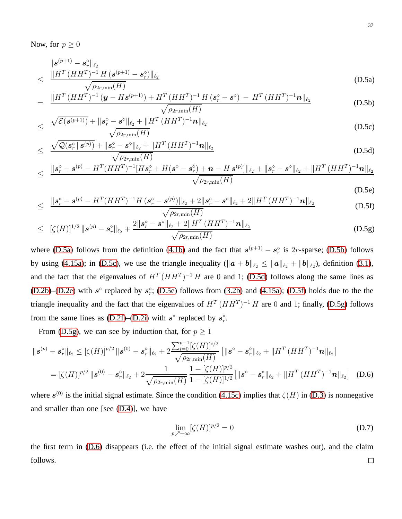Now, for  $p \geq 0$ 

<span id="page-36-0"></span>
$$
\leq \frac{\|s^{(p+1)} - s_r^{\diamond}\|_{\ell_2}}{\sqrt{\rho_{2r,\min}(H)}} \tag{D.5a}
$$

$$
= \frac{\|H^T (HH^T)^{-1} (\mathbf{y} - H\mathbf{s}^{(p+1)}) + H^T (HH^T)^{-1} H (\mathbf{s}_r^{\diamond} - \mathbf{s}^{\diamond}) - H^T (HH^T)^{-1} \mathbf{n} \|_{\ell_2}}{\sqrt{\rho_{2r,\min}(H)}}
$$
(D.5b)

$$
\leq \frac{\sqrt{\mathcal{E}(s^{(p+1)})} + \|\mathbf{s}_r^{\diamond} - \mathbf{s}^{\diamond}\|_{\ell_2} + \|H^T (HH^T)^{-1} \mathbf{n}\|_{\ell_2}}{\sqrt{\rho_{2r,\min}(H)}}
$$
(D.5c)

$$
\leq \frac{\sqrt{\mathcal{Q}(s_r^{\diamond} \mid s^{(p)})} + \Vert s_r^{\diamond} - s^{\diamond} \Vert_{\ell_2} + \Vert H^T \left( H H^T \right)^{-1} n \Vert_{\ell_2}}{\sqrt{\rho_{2r,\min}(H)}} \tag{D.5d}
$$

$$
\leq \frac{\|s_r^{\diamond} - s^{(p)} - H^T (HH^T)^{-1} [H s_r^{\diamond} + H (s^{\diamond} - s_r^{\diamond}) + n - H s^{(p)}]\|_{\ell_2} + \|s_r^{\diamond} - s^{\diamond}\|_{\ell_2} + \|H^T (HH^T)^{-1} n\|_{\ell_2}}{\sqrt{\rho_{2r, \min}(H)}}
$$
(D.5e)

$$
\leq \frac{\|\mathbf{s}_r^{\diamond} - \mathbf{s}^{(p)} - H^T (HH^T)^{-1} H (\mathbf{s}_r^{\diamond} - \mathbf{s}^{(p)})\|_{\ell_2} + 2\|\mathbf{s}_r^{\diamond} - \mathbf{s}^{\diamond}\|_{\ell_2} + 2\|H^T (HH^T)^{-1} \mathbf{n}\|_{\ell_2}}{\sqrt{\rho_{2r,\min}(H)}}
$$
(D.5f)

$$
\leq \left[ \zeta(H) \right]^{1/2} \|\boldsymbol{s}^{(p)} - \boldsymbol{s}_r^{\diamond} \|_{\ell_2} + \frac{2\|\boldsymbol{s}_r^{\diamond} - \boldsymbol{s}^{\diamond} \|_{\ell_2} + 2\|H^T (HH^T)^{-1} \boldsymbol{n} \|_{\ell_2}}{\sqrt{\rho_{2r,\min}(H)}} \tag{D.5g}
$$

where [\(D.5a\)](#page-36-0) follows from the definition [\(4.1b\)](#page-11-1) and the fact that  $s^{(p+1)} - s_r^{\diamond}$  is 2r-sparse; [\(D.5b\)](#page-36-0) follows by using [\(4.15a\)](#page-15-1); in [\(D.5c\)](#page-36-0), we use the triangle inequality  $(\|\boldsymbol{a} + \boldsymbol{b}\|_{\ell_2} \le \|\boldsymbol{a}\|_{\ell_2} + \|\boldsymbol{b}\|_{\ell_2})$ , definition [\(3.1\)](#page-7-2), and the fact that the eigenvalues of  $H^T (HH^T)^{-1} H$  are 0 and 1; [\(D.5d\)](#page-36-0) follows along the same lines as [\(D.2b\)](#page-35-0)–[\(D.2e\)](#page-35-0) with  $s^{\circ}$  replaced by  $s^{\circ}$ ; [\(D.5e\)](#page-36-0) follows from [\(3.2b\)](#page-7-0) and [\(4.15a\)](#page-15-1); [\(D.5f\)](#page-36-0) holds due to the the triangle inequality and the fact that the eigenvalues of  $H^{T}(HH^{T})^{-1}H$  are 0 and 1; finally, [\(D.5g\)](#page-36-0) follows from the same lines as [\(D.2f\)](#page-35-0)–[\(D.2i\)](#page-35-0) with  $s^{\circ}$  replaced by  $s_r^{\circ}$ .

From [\(D.5g\)](#page-36-0), we can see by induction that, for  $p \ge 1$ 

<span id="page-36-1"></span>
$$
\|\mathbf{s}^{(p)} - \mathbf{s}_r^{\diamond}\|_{\ell_2} \leq [\zeta(H)]^{p/2} \|\mathbf{s}^{(0)} - \mathbf{s}_r^{\diamond}\|_{\ell_2} + 2 \frac{\sum_{i=0}^{p-1} [\zeta(H)]^{i/2}}{\sqrt{\rho_{2r,\min}(H)}} \left[ \|\mathbf{s}^{\diamond} - \mathbf{s}_r^{\diamond}\|_{\ell_2} + \|H^T(HH^T)^{-1}\mathbf{n}\|_{\ell_2} \right]
$$
  
=  $[\zeta(H)]^{p/2} \|\mathbf{s}^{(0)} - \mathbf{s}_r^{\diamond}\|_{\ell_2} + 2 \frac{1}{\sqrt{\rho_{2r,\min}(H)}} \frac{1 - [\zeta(H)]^{p/2}}{1 - [\zeta(H)]^{1/2}} \left[ \|\mathbf{s}^{\diamond} - \mathbf{s}_r^{\diamond}\|_{\ell_2} + \|H^T(HH^T)^{-1}\mathbf{n}\|_{\ell_2} \right]$  (D.6)

where  $s^{(0)}$  is the initial signal estimate. Since the condition [\(4.15c\)](#page-15-1) implies that  $\zeta(H)$  in [\(D.3\)](#page-35-1) is nonnegative and smaller than one [see [\(D.4\)](#page-35-2)], we have

$$
\lim_{p \nearrow +\infty} [\zeta(H)]^{p/2} = 0 \tag{D.7}
$$

the first term in [\(D.6\)](#page-36-1) disappears (i.e. the effect of the initial signal estimate washes out), and the claim follows. $\Box$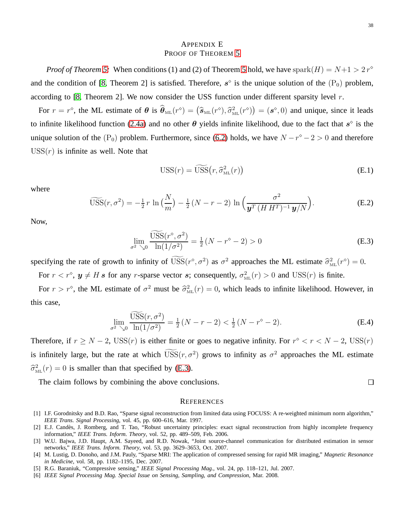## APPENDIX E PROOF OF THEOREM [5](#page-20-2)

<span id="page-37-2"></span>*Proof of Theorem [5:](#page-20-2)* When conditions (1) and (2) of Theorem [5](#page-20-2) hold, we have spark $(H) = N+1 > 2r^{\circ}$ and the condition of [\[8,](#page-38-0) Theorem 2] is satisfied. Therefore,  $s^{\circ}$  is the unique solution of the  $(P_0)$  problem, according to [\[8,](#page-38-0) Theorem 2]. We now consider the USS function under different sparsity level  $r$ .

For  $r = r^{\circ}$ , the ML estimate of  $\theta$  is  $\hat{\theta}_{ML}(r^{\circ}) = (\hat{s}_{ML}(r^{\circ}), \hat{\sigma}_{ML}^2(r^{\circ})) = (s^{\circ}, 0)$  and unique, since it leads to infinite likelihood function [\(2.4a\)](#page-5-1) and no other  $\theta$  yields infinite likelihood, due to the fact that  $s^{\circ}$  is the unique solution of the  $(P_0)$  problem. Furthermore, since [\(6.2\)](#page-20-3) holds, we have  $N - r^{\circ} - 2 > 0$  and therefore  $USS(r)$  is infinite as well. Note that

$$
USS(r) = \widetilde{USS}(r, \widehat{\sigma}_{ML}^2(r))
$$
 (E.1)

where

$$
\widetilde{\text{USS}}(r, \sigma^2) = -\frac{1}{2}r \ln\left(\frac{N}{m}\right) - \frac{1}{2}(N - r - 2) \ln\left(\frac{\sigma^2}{\mathbf{y}^T (H H^T)^{-1} \mathbf{y}/N}\right).
$$
\n(E.2)

Now,

<span id="page-37-5"></span>
$$
\lim_{\sigma^2 \searrow 0} \frac{\widetilde{USS}(r^{\diamond}, \sigma^2)}{\ln(1/\sigma^2)} = \frac{1}{2} (N - r^{\diamond} - 2) > 0
$$
 (E.3)

specifying the rate of growth to infinity of  $USS(r^{\circ}, \sigma^2)$  as  $\sigma^2$  approaches the ML estimate  $\hat{\sigma}_{ML}^2(r^{\circ}) = 0$ . For  $r < r^{\circ}$ ,  $y \neq H$  s for any r-sparse vector s; consequently,  $\sigma_{ML}^2(r) > 0$  and  $USS(r)$  is finite.

For  $r > r^{\circ}$ , the ML estimate of  $\sigma^2$  must be  $\hat{\sigma}_{ML}^2(r) = 0$ , which leads to infinite likelihood. However, in this case,

$$
\lim_{\sigma^2 \searrow 0} \frac{\widetilde{\text{USS}}(r, \sigma^2)}{\ln(1/\sigma^2)} = \frac{1}{2} (N - r - 2) < \frac{1}{2} (N - r^{\circ} - 2). \tag{E.4}
$$

Therefore, if  $r \ge N - 2$ ,  $USS(r)$  is either finite or goes to negative infinity. For  $r^{\circ} < r < N - 2$ ,  $USS(r)$ is infinitely large, but the rate at which  $USS(r, \sigma^2)$  grows to infinity as  $\sigma^2$  approaches the ML estimate  $\widehat{\sigma}_{ML}^2(r) = 0$  is smaller than that specified by [\(E.3\)](#page-37-5).

The claim follows by combining the above conclusions.

#### **REFERENCES**

- <span id="page-37-0"></span>[1] I.F. Gorodnitsky and B.D. Rao, "Sparse signal reconstruction from limited data using FOCUSS: A re-weighted minimum norm algorithm," *IEEE Trans. Signal Processing*, vol. 45, pp. 600–616, Mar. 1997.
- <span id="page-37-4"></span>[2] E.J. Candès, J. Romberg, and T. Tao, "Robust uncertainty principles: exact signal reconstruction from highly incomplete frequency information," *IEEE Trans. Inform. Theory*, vol. 52, pp. 489–509, Feb. 2006.
- [3] W.U. Bajwa, J.D. Haupt, A.M. Sayeed, and R.D. Nowak, "Joint source-channel communication for distributed estimation in sensor networks," *IEEE Trans. Inform. Theory*, vol. 53, pp. 3629–3653, Oct. 2007.
- [4] M. Lustig, D. Donoho, and J.M. Pauly, "Sparse MRI: The application of compressed sensing for rapid MR imaging," *Magnetic Resonance in Medicine*, vol. 58, pp. 1182–1195, Dec. 2007.
- <span id="page-37-3"></span><span id="page-37-1"></span>[5] R.G. Baraniuk, "Compressive sensing," *IEEE Signal Processing Mag.*, vol. 24, pp. 118–121, Jul. 2007.
- [6] *IEEE Signal Processing Mag. Special Issue on Sensing, Sampling, and Compression*, Mar. 2008.